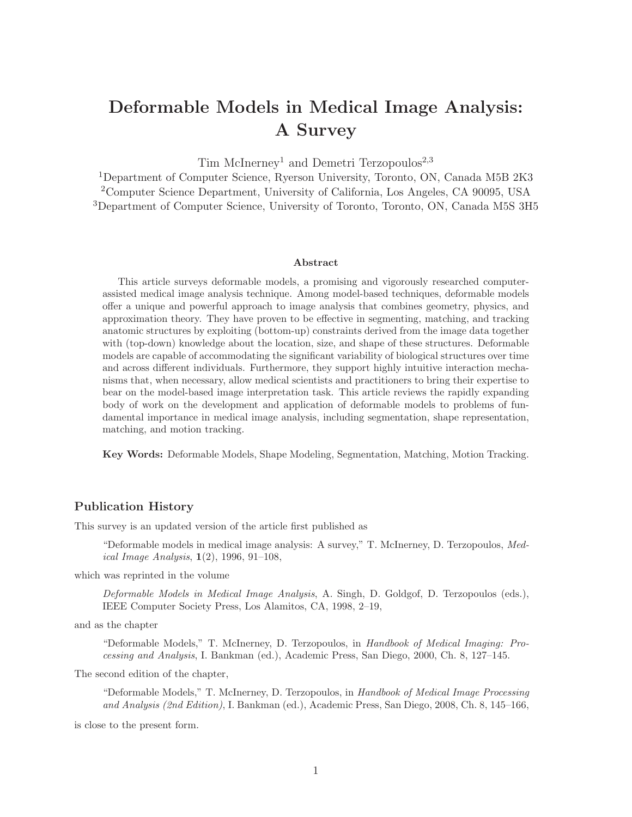# <span id="page-0-1"></span>**Deformable Models in Medical Image Analysis: A Survey**

Tim McInerney<sup>1</sup> and Demetri Terzopoulos<sup>2,3</sup>

<sup>1</sup>Department of Computer Science, Ryerson University, Toronto, ON, Canada M5B 2K3 <sup>2</sup>Computer Science Department, University of California, Los Angeles, CA 90095, USA <sup>3</sup>Department of Computer Science, University of Toronto, Toronto, ON, Canada M5S 3H5

#### **Abstract**

<span id="page-0-0"></span>This article surveys deformable models, a promising and vigorously researched computerassisted medical image analysis technique. Among model-based techniques, deformable models offer a unique and powerful approach to image analysis that combines geometry, physics, and approximation theory. They have proven to be effective in segmenting, matching, and tracking anatomic structures by exploiting (bottom-up) constraints derived from the image data together with (top-down) knowledge about the location, size, and shape of these structures. Deformable models are capable of accommodating the significant variability of biological structures over time and across different individuals. Furthermore, they support highly intuitive interaction mechanisms that, when necessary, allow medical scientists and practitioners to bring their expertise to bear on the model-based image interpretation task. This article reviews the rapidly expanding body of work on the development and application of deformable models to problems of fundamental importance in medical image analysis, including segmentation, shape representation, matching, and motion tracking.

**Key Words:** Deformable Models, Shape Modeling, Segmentation, Matching, Motion Tracking.

#### **Publication History**

This survey is an updated version of the article first published as

"Deformable models in medical image analysis: A survey," T. McInerney, D. Terzopoulos, *Medical Image Analysis*, **1**(2), 1996, 91–108,

which was reprinted in the volume

*Deformable Models in Medical Image Analysis*, A. Singh, D. Goldgof, D. Terzopoulos (eds.), IEEE Computer Society Press, Los Alamitos, CA, 1998, 2–19,

and as the chapter

"Deformable Models," T. McInerney, D. Terzopoulos, in *Handbook of Medical Imaging: Processing and Analysis*, I. Bankman (ed.), Academic Press, San Diego, 2000, Ch. 8, 127–145.

The second edition of the chapter,

"Deformable Models," T. McInerney, D. Terzopoulos, in *Handbook of Medical Image Processing and Analysis (2nd Edition)*, I. Bankman (ed.), Academic Press, San Diego, 2008, Ch. 8, 145–166,

is close to the present form.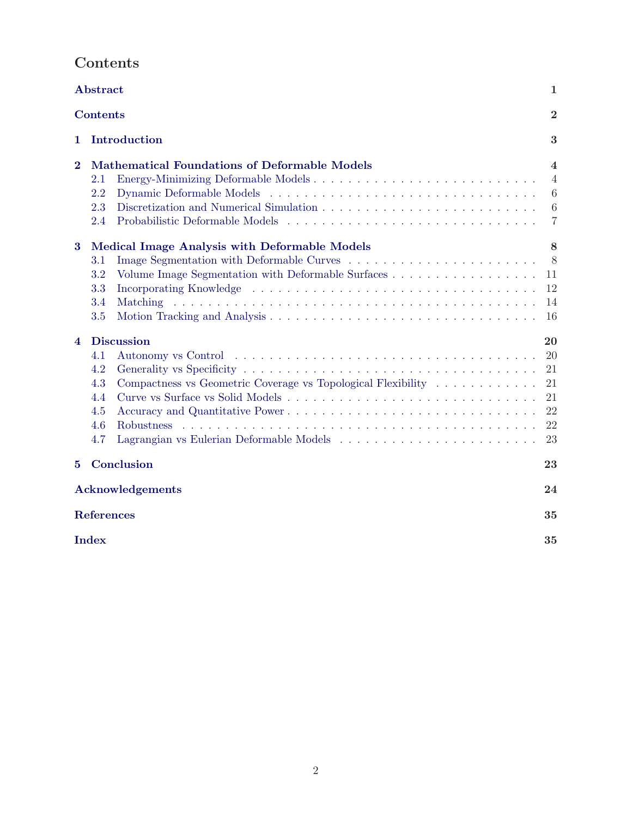## **Contents**

<span id="page-1-0"></span>

| Abstract          |                                                                                                                                                                                                                                                                                                                                                                                           | $\mathbf 1$                                  |
|-------------------|-------------------------------------------------------------------------------------------------------------------------------------------------------------------------------------------------------------------------------------------------------------------------------------------------------------------------------------------------------------------------------------------|----------------------------------------------|
| <b>Contents</b>   |                                                                                                                                                                                                                                                                                                                                                                                           | $\boldsymbol{2}$                             |
| 1                 | Introduction                                                                                                                                                                                                                                                                                                                                                                              | 3                                            |
| $\overline{2}$    | <b>Mathematical Foundations of Deformable Models</b><br>Energy-Minimizing Deformable Models<br>2.1<br>2.2<br>Dynamic Deformable Models<br>2.3<br>Probabilistic Deformable Models (and all contracts of the Models of the set of the set of the Models of the set of the Models (and the set of the Models of the Models of the Set of the Set of the Set of the Set of the Set<br>2.4     | 4<br>$\overline{4}$<br>6<br>6<br>7           |
| 3                 | Medical Image Analysis with Deformable Models<br>3.1<br>3.2<br>Volume Image Segmentation with Deformable Surfaces<br>3.3<br>3.4<br>Matching<br>3.5                                                                                                                                                                                                                                        | 8<br>8<br>11<br>12<br>14<br>16               |
| 4                 | <b>Discussion</b><br>Autonomy vs Control (a) and a series and a series and a series of the series of the series of the series of the series of the series of the series of the series of the series of the series of the series of the series of th<br>4.1<br>4.2<br>4.3<br>Compactness vs Geometric Coverage vs Topological Flexibility<br>4.4<br>4.5<br>4.6<br><b>Robustness</b><br>4.7 | 20<br>20<br>21<br>21<br>21<br>22<br>22<br>23 |
| $\bf{5}$          | Conclusion                                                                                                                                                                                                                                                                                                                                                                                | 23                                           |
|                   | <b>Acknowledgements</b><br>24                                                                                                                                                                                                                                                                                                                                                             |                                              |
| <b>References</b> |                                                                                                                                                                                                                                                                                                                                                                                           | 35                                           |
| <b>Index</b>      |                                                                                                                                                                                                                                                                                                                                                                                           | 35                                           |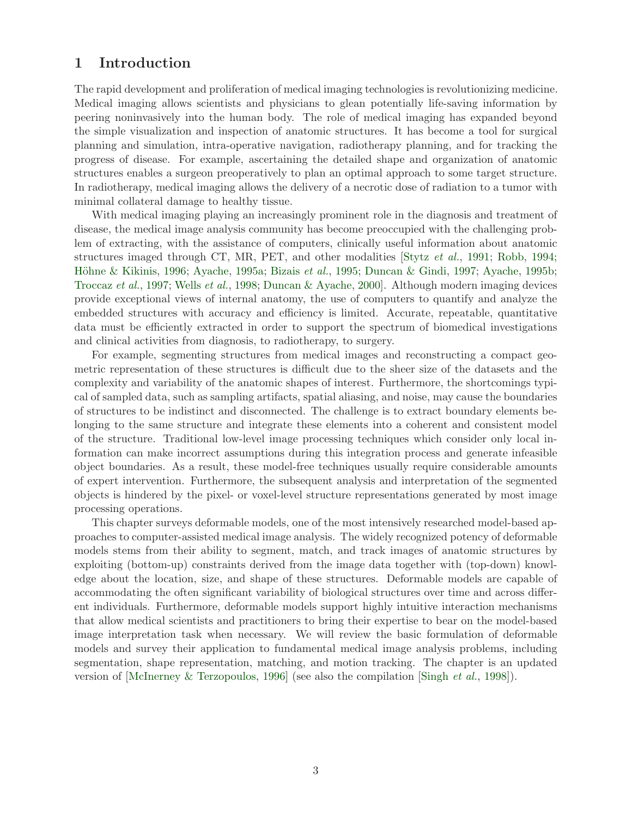### <span id="page-2-1"></span><span id="page-2-0"></span>**1 Introduction**

The rapid development and proliferation of medical imaging technologies is revolutionizing medicine. Medical imaging allows scientists and physicians to glean potentially life-saving information by peering noninvasively into the human body. The role of medical imaging has expanded beyond the simple visualization and inspection of anatomic structures. It has become a tool for surgical planning and simulation, intra-operative navigation, radiotherapy planning, and for tracking the progress of disease. For example, ascertaining the detailed shape and organization of anatomic structures enables a surgeon preoperatively to plan an optimal approach to some target structure. In radiotherapy, medical imaging allows the delivery of a necrotic dose of radiation to a tumor with minimal collateral damage to healthy tissue.

With medical imaging playing an increasingly prominent role in the diagnosis and treatment of disease, the medical image analysis community has become preoccupied with the challenging problem of extracting, with the assistance of computers, clinically useful information about anatomic structures imaged through CT, MR, PET, and other modalities [\[Stytz](#page-32-0) *et al.*, [1991;](#page-32-0) [Robb,](#page-31-0) [1994;](#page-31-0) Höhne & Kikinis, [1996](#page-27-0); [Ayache,](#page-23-2) [1995a;](#page-23-2) [Bizais](#page-24-0) *et al.*, [1995;](#page-24-0) [Duncan & Gindi,](#page-25-0) [1997](#page-25-0); [Ayache](#page-23-3), [1995b;](#page-23-3) [Troccaz](#page-33-0) *et al.*, [1997](#page-33-0); [Wells](#page-33-1) *et al.*, [1998](#page-33-1); [Duncan & Ayache,](#page-26-0) [2000\]](#page-26-0). Although modern imaging devices provide exceptional views of internal anatomy, the use of computers to quantify and analyze the embedded structures with accuracy and efficiency is limited. Accurate, repeatable, quantitative data must be efficiently extracted in order to support the spectrum of biomedical investigations and clinical activities from diagnosis, to radiotherapy, to surgery.

For example, segmenting structures from medical images and reconstructing a compact geometric representation of these structures is difficult due to the sheer size of the datasets and the complexity and variability of the anatomic shapes of interest. Furthermore, the shortcomings typical of sampled data, such as sampling artifacts, spatial aliasing, and noise, may cause the boundaries of structures to be indistinct and disconnected. The challenge is to extract boundary elements belonging to the same structure and integrate these elements into a coherent and consistent model of the structure. Traditional low-level image processing techniques which consider only local information can make incorrect assumptions during this integration process and generate infeasible object boundaries. As a result, these model-free techniques usually require considerable amounts of expert intervention. Furthermore, the subsequent analysis and interpretation of the segmented objects is hindered by the pixel- or voxel-level structure representations generated by most image processing operations.

This chapter surveys deformable models, one of the most intensively researched model-based approaches to computer-assisted medical image analysis. The widely recognized potency of deformable models stems from their ability to segment, match, and track images of anatomic structures by exploiting (bottom-up) constraints derived from the image data together with (top-down) knowledge about the location, size, and shape of these structures. Deformable models are capable of accommodating the often significant variability of biological structures over time and across different individuals. Furthermore, deformable models support highly intuitive interaction mechanisms that allow medical scientists and practitioners to bring their expertise to bear on the model-based image interpretation task when necessary. We will review the basic formulation of deformable models and survey their application to fundamental medical image analysis problems, including segmentation, shape representation, matching, and motion tracking. The chapter is an updated version of [\[McInerney & Terzopoulos,](#page-29-0) [1996](#page-29-0)] (see also the compilation [\[Singh](#page-31-1) *et al.*, [1998](#page-31-1)]).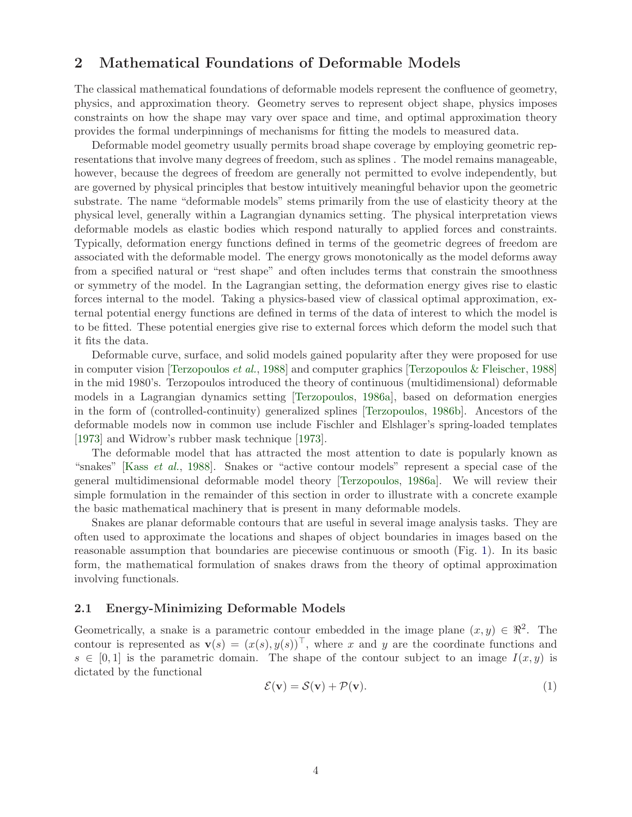## <span id="page-3-3"></span><span id="page-3-0"></span>**2 Mathematical Foundations of Deformable Models**

The classical mathematical foundations of deformable models represent the confluence of geometry, physics, and approximation theory. Geometry serves to represent object shape, physics imposes constraints on how the shape may vary over space and time, and optimal approximation theory provides the formal underpinnings of mechanisms for fitting the models to measured data.

Deformable model geometry usually permits broad shape coverage by employing geometric representations that involve many degrees of freedom, such as splines . The model remains manageable, however, because the degrees of freedom are generally not permitted to evolve independently, but are governed by physical principles that bestow intuitively meaningful behavior upon the geometric substrate. The name "deformable models" stems primarily from the use of elasticity theory at the physical level, generally within a Lagrangian dynamics setting. The physical interpretation views deformable models as elastic bodies which respond naturally to applied forces and constraints. Typically, deformation energy functions defined in terms of the geometric degrees of freedom are associated with the deformable model. The energy grows monotonically as the model deforms away from a specified natural or "rest shape" and often includes terms that constrain the smoothness or symmetry of the model. In the Lagrangian setting, the deformation energy gives rise to elastic forces internal to the model. Taking a physics-based view of classical optimal approximation, external potential energy functions are defined in terms of the data of interest to which the model is to be fitted. These potential energies give rise to external forces which deform the model such that it fits the data.

Deformable curve, surface, and solid models gained popularity after they were proposed for use in computer vision [\[Terzopoulos](#page-33-2) *et al.*, [1988](#page-33-2)] and computer graphics [\[Terzopoulos & Fleischer](#page-32-1), [1988\]](#page-32-1) in the mid 1980's. Terzopoulos introduced the theory of continuous (multidimensional) deformable models in a Lagrangian dynamics setting [\[Terzopoulos,](#page-32-2) [1986a](#page-32-2)], based on deformation energies in the form of (controlled-continuity) generalized splines [\[Terzopoulos,](#page-32-3) [1986b](#page-32-3)]. Ancestors of the deformable models now in common use include Fischler and Elshlager's spring-loaded templates [\[1973\]](#page-26-1) and Widrow's rubber mask technique [\[1973](#page-34-1)].

The deformable model that has attracted the most attention to date is popularly known as "snakes" [Kass *[et al.](#page-28-0)*, [1988](#page-28-0)]. Snakes or "active contour models" represent a special case of the general multidimensional deformable model theory [\[Terzopoulos,](#page-32-2) [1986a](#page-32-2)]. We will review their simple formulation in the remainder of this section in order to illustrate with a concrete example the basic mathematical machinery that is present in many deformable models.

Snakes are planar deformable contours that are useful in several image analysis tasks. They are often used to approximate the locations and shapes of object boundaries in images based on the reasonable assumption that boundaries are piecewise continuous or smooth (Fig. [1\)](#page-4-0). In its basic form, the mathematical formulation of snakes draws from the theory of optimal approximation involving functionals.

#### <span id="page-3-1"></span>**2.1 Energy-Minimizing Deformable Models**

Geometrically, a snake is a parametric contour embedded in the image plane  $(x, y) \in \mathbb{R}^2$ . The contour is represented as  $\mathbf{v}(s) = (x(s), y(s))^{\top}$ , where x and y are the coordinate functions and  $s \in [0, 1]$  is the parametric domain. The shape of the contour subject to an image  $I(x, y)$  is dictated by the functional

<span id="page-3-2"></span>
$$
\mathcal{E}(\mathbf{v}) = \mathcal{S}(\mathbf{v}) + \mathcal{P}(\mathbf{v}).\tag{1}
$$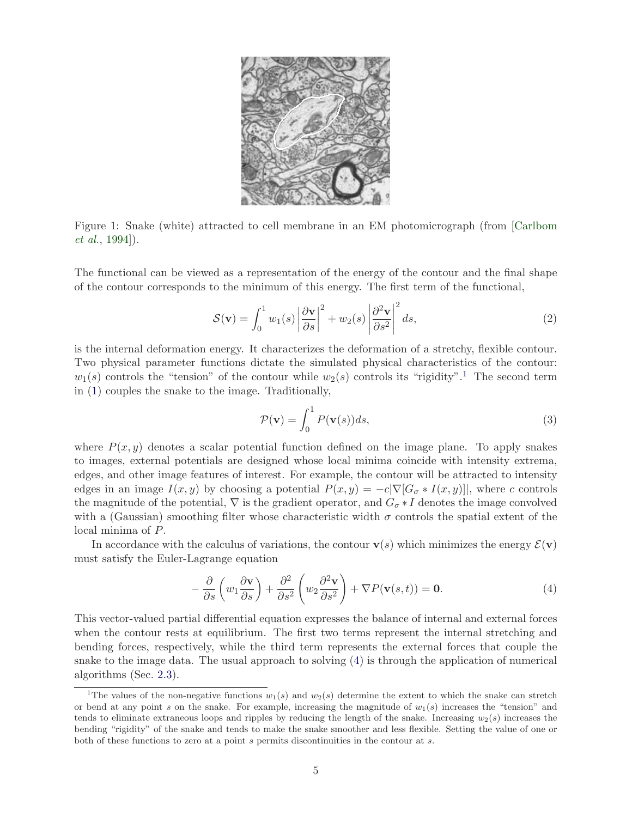<span id="page-4-5"></span>

Figu[re 1: Snake \(white\) attracted to cell membrane in an EM photomicrograph \(from \[](#page-24-1)Carlbom *et al.*, [1994\]](#page-24-1)).

<span id="page-4-0"></span>The functional can be viewed as a representation of the energy of the contour and the final shape of the contour corresponds to the minimum of this energy. The first term of the functional,

<span id="page-4-3"></span>
$$
S(\mathbf{v}) = \int_0^1 w_1(s) \left| \frac{\partial \mathbf{v}}{\partial s} \right|^2 + w_2(s) \left| \frac{\partial^2 \mathbf{v}}{\partial s^2} \right|^2 ds,
$$
 (2)

is the internal deformation energy. It characterizes the deformation of a stretchy, flexible contour. Two physical parameter functions dictate the simulated physical characteristics of the contour:  $w_1(s)$  $w_1(s)$  $w_1(s)$  controls the "tension" of the contour while  $w_2(s)$  controls its "rigidity".<sup>1</sup> The second term in [\(1\)](#page-3-2) couples the snake to the image. Traditionally,

<span id="page-4-4"></span>
$$
\mathcal{P}(\mathbf{v}) = \int_0^1 P(\mathbf{v}(s))ds,\tag{3}
$$

where  $P(x, y)$  denotes a scalar potential function defined on the image plane. To apply snakes to images, external potentials are designed whose local minima coincide with intensity extrema, edges, and other image features of interest. For example, the contour will be attracted to intensity edges in an image  $I(x, y)$  by choosing a potential  $P(x, y) = -c|\nabla [G_{\sigma}*I(x, y)]|$ , where c controls the magnitude of the potential,  $\nabla$  is the gradient operator, and  $G_{\sigma} * I$  denotes the image convolved with a (Gaussian) smoothing filter whose characteristic width  $\sigma$  controls the spatial extent of the local minima of P.

In accordance with the calculus of variations, the contour **v**(s) which minimizes the energy  $\mathcal{E}(v)$ must satisfy the Euler-Lagrange equation

<span id="page-4-2"></span>
$$
-\frac{\partial}{\partial s}\left(w_1\frac{\partial \mathbf{v}}{\partial s}\right) + \frac{\partial^2}{\partial s^2}\left(w_2\frac{\partial^2 \mathbf{v}}{\partial s^2}\right) + \nabla P(\mathbf{v}(s,t)) = \mathbf{0}.\tag{4}
$$

This vector-valued partial differential equation expresses the balance of internal and external forces when the contour rests at equilibrium. The first two terms represent the internal stretching and bending forces, respectively, while the third term represents the external forces that couple the snake to the image data. The usual approach to solving [\(4\)](#page-4-2) is through the application of numerical algorithms (Sec. [2.3\)](#page-5-1).

<span id="page-4-1"></span><sup>&</sup>lt;sup>1</sup>The values of the non-negative functions  $w_1(s)$  and  $w_2(s)$  determine the extent to which the snake can stretch or bend at any point  $s$  on the snake. For example, increasing the magnitude of  $w_1(s)$  increases the "tension" and tends to eliminate extraneous loops and ripples by reducing the length of the snake. Increasing  $w_2(s)$  increases the bending "rigidity" of the snake and tends to make the snake smoother and less flexible. Setting the value of one or both of these functions to zero at a point *s* permits discontinuities in the contour at *s*.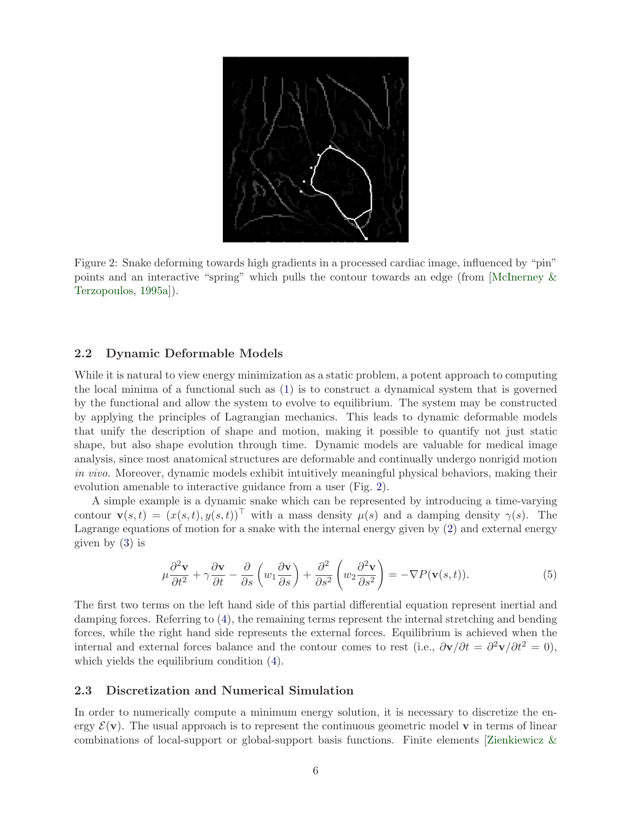<span id="page-5-4"></span>

<span id="page-5-2"></span>Figure 2: Snake deforming towards high gradients in a processed cardiac image, influenced by "pin" points and [an interactive "spring" which pulls the contour towards an edge \(from \[](#page-29-1)McInerney & Terzopoulos, [1995a\]](#page-29-1)).

#### <span id="page-5-0"></span>**2.2 Dynamic Deformable Models**

While it is natural to view energy minimization as a static problem, a potent approach to computing the local minima of a functional such as [\(1\)](#page-3-2) is to construct a dynamical system that is governed by the functional and allow the system to evolve to equilibrium. The system may be constructed by applying the principles of Lagrangian mechanics. This leads to dynamic deformable models that unify the description of shape and motion, making it possible to quantify not just static shape, but also shape evolution through time. Dynamic models are valuable for medical image analysis, since most anatomical structures are deformable and continually undergo nonrigid motion *in vivo*. Moreover, dynamic models exhibit intuitively meaningful physical behaviors, making their evolution amenable to interactive guidance from a user (Fig. [2\)](#page-5-2).

A simple example is a dynamic snake which can be represented by introducing a time-varying contour  $\mathbf{v}(s,t) = (x(s,t), y(s,t))^{\top}$  with a mass density  $\mu(s)$  and a damping density  $\gamma(s)$ . The Lagrange equations of motion for a snake with the internal energy given by [\(2\)](#page-4-3) and external energy given by [\(3\)](#page-4-4) is

<span id="page-5-3"></span>
$$
\mu \frac{\partial^2 \mathbf{v}}{\partial t^2} + \gamma \frac{\partial \mathbf{v}}{\partial t} - \frac{\partial}{\partial s} \left( w_1 \frac{\partial \mathbf{v}}{\partial s} \right) + \frac{\partial^2}{\partial s^2} \left( w_2 \frac{\partial^2 \mathbf{v}}{\partial s^2} \right) = -\nabla P(\mathbf{v}(s, t)).
$$
\n(5)

The first two terms on the left hand side of this partial differential equation represent inertial and damping forces. Referring to [\(4\)](#page-4-2), the remaining terms represent the internal stretching and bending forces, while the right hand side represents the external forces. Equilibrium is achieved when the internal and external forces balance and the contour comes to rest (i.e.,  $\partial \mathbf{v}/\partial t = \partial^2 \mathbf{v}/\partial t^2 = 0$ ), which yields the equilibrium condition [\(4\)](#page-4-2).

#### <span id="page-5-1"></span>**2.3 Discretization and Numerical Simulation**

In order to numerically compute a minimum energy solution, it is necessary to discretize the energy  $\mathcal{E}(\mathbf{v})$ . The usual approach is to represent the continuous geometric model **v** in terms of linear combinations of local-support or global-support basis functions. Finite elements [Zienkiewicz &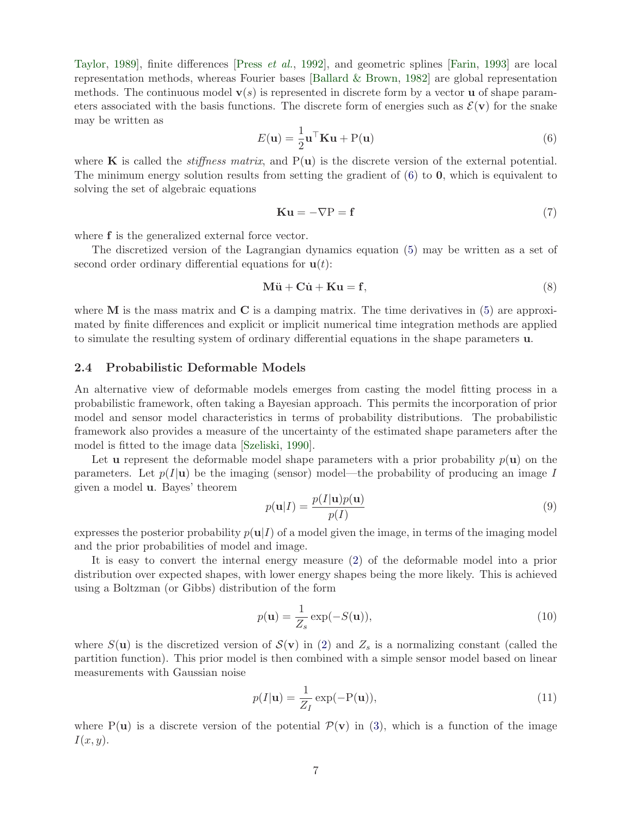<span id="page-6-4"></span>Taylor, [1989](#page-34-2)], finite differences [\[Press](#page-31-2) *et al.*, [1992](#page-31-2)], and geometric splines [\[Farin,](#page-26-2) [1993](#page-26-2)] are local representation methods, whereas Fourier bases [\[Ballard & Brown](#page-23-4), [1982](#page-23-4)] are global representation methods. The continuous model  $\mathbf{v}(s)$  is represented in discrete form by a vector **u** of shape parameters associated with the basis functions. The discrete form of energies such as  $\mathcal{E}(v)$  for the snake may be written as

<span id="page-6-1"></span>
$$
E(\mathbf{u}) = \frac{1}{2}\mathbf{u}^{\top}\mathbf{K}\mathbf{u} + P(\mathbf{u})
$$
\n(6)

where **K** is called the *stiffness matrix*, and  $P(\mathbf{u})$  is the discrete version of the external potential. The minimum energy solution results from setting the gradient of [\(6\)](#page-6-1) to **0**, which is equivalent to solving the set of algebraic equations

$$
Ku = -\nabla P = f \tag{7}
$$

where **f** is the generalized external force vector.

The discretized version of the Lagrangian dynamics equation [\(5\)](#page-5-3) may be written as a set of second order ordinary differential equations for  $\mathbf{u}(t)$ :

<span id="page-6-3"></span>
$$
M\ddot{u} + C\dot{u} + Ku = f,\tag{8}
$$

where **M** is the mass matrix and **C** is a damping matrix. The time derivatives in  $(5)$  are approximated by finite differences and explicit or implicit numerical time integration methods are applied to simulate the resulting system of ordinary differential equations in the shape parameters **u**.

#### <span id="page-6-0"></span>**2.4 Probabilistic Deformable Models**

An alternative view of deformable models emerges from casting the model fitting process in a probabilistic framework, often taking a Bayesian approach. This permits the incorporation of prior model and sensor model characteristics in terms of probability distributions. The probabilistic framework also provides a measure of the uncertainty of the estimated shape parameters after the model is fitted to the image data [\[Szeliski,](#page-32-4) [1990](#page-32-4)].

Let **u** represent the deformable model shape parameters with a prior probability  $p(\mathbf{u})$  on the parameters. Let  $p(I|\mathbf{u})$  be the imaging (sensor) model—the probability of producing an image I given a model **u**. Bayes' theorem

<span id="page-6-2"></span>
$$
p(\mathbf{u}|I) = \frac{p(I|\mathbf{u})p(\mathbf{u})}{p(I)}
$$
\n(9)

expresses the posterior probability  $p(\mathbf{u}|I)$  of a model given the image, in terms of the imaging model and the prior probabilities of model and image.

It is easy to convert the internal energy measure [\(2\)](#page-4-3) of the deformable model into a prior distribution over expected shapes, with lower energy shapes being the more likely. This is achieved using a Boltzman (or Gibbs) distribution of the form

$$
p(\mathbf{u}) = \frac{1}{Z_s} \exp(-S(\mathbf{u})),\tag{10}
$$

where  $S(\mathbf{u})$  is the discretized version of  $S(\mathbf{v})$  in [\(2\)](#page-4-3) and  $Z_s$  is a normalizing constant (called the partition function). This prior model is then combined with a simple sensor model based on linear measurements with Gaussian noise

$$
p(I|\mathbf{u}) = \frac{1}{Z_I} \exp(-P(\mathbf{u})),\tag{11}
$$

where P(**u**) is a discrete version of the potential  $\mathcal{P}(\mathbf{v})$  in [\(3\)](#page-4-4), which is a function of the image  $I(x, y)$ .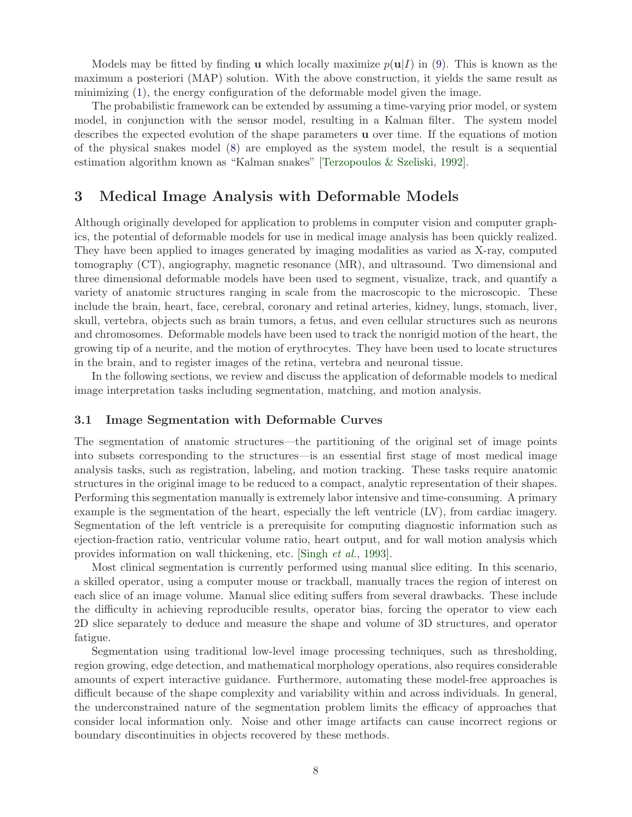<span id="page-7-2"></span>Models may be fitted by finding **u** which locally maximize  $p(\mathbf{u}|I)$  in [\(9\)](#page-6-2). This is known as the maximum a posteriori (MAP) solution. With the above construction, it yields the same result as minimizing [\(1\)](#page-3-2), the energy configuration of the deformable model given the image.

The probabilistic framework can be extended by assuming a time-varying prior model, or system model, in conjunction with the sensor model, resulting in a Kalman filter. The system model describes the expected evolution of the shape parameters **u** over time. If the equations of motion of the physical snakes model [\(8\)](#page-6-3) are employed as the system model, the result is a sequential estimation algorithm known as "Kalman snakes" [\[Terzopoulos & Szeliski](#page-32-5), [1992](#page-32-5)].

## <span id="page-7-0"></span>**3 Medical Image Analysis with Deformable Models**

Although originally developed for application to problems in computer vision and computer graphics, the potential of deformable models for use in medical image analysis has been quickly realized. They have been applied to images generated by imaging modalities as varied as X-ray, computed tomography (CT), angiography, magnetic resonance (MR), and ultrasound. Two dimensional and three dimensional deformable models have been used to segment, visualize, track, and quantify a variety of anatomic structures ranging in scale from the macroscopic to the microscopic. These include the brain, heart, face, cerebral, coronary and retinal arteries, kidney, lungs, stomach, liver, skull, vertebra, objects such as brain tumors, a fetus, and even cellular structures such as neurons and chromosomes. Deformable models have been used to track the nonrigid motion of the heart, the growing tip of a neurite, and the motion of erythrocytes. They have been used to locate structures in the brain, and to register images of the retina, vertebra and neuronal tissue.

In the following sections, we review and discuss the application of deformable models to medical image interpretation tasks including segmentation, matching, and motion analysis.

#### <span id="page-7-1"></span>**3.1 Image Segmentation with Deformable Curves**

The segmentation of anatomic structures—the partitioning of the original set of image points into subsets corresponding to the structures—is an essential first stage of most medical image analysis tasks, such as registration, labeling, and motion tracking. These tasks require anatomic structures in the original image to be reduced to a compact, analytic representation of their shapes. Performing this segmentation manually is extremely labor intensive and time-consuming. A primary example is the segmentation of the heart, especially the left ventricle (LV), from cardiac imagery. Segmentation of the left ventricle is a prerequisite for computing diagnostic information such as ejection-fraction ratio, ventricular volume ratio, heart output, and for wall motion analysis which provides information on wall thickening, etc. [\[Singh](#page-31-3) *et al.*, [1993](#page-31-3)].

Most clinical segmentation is currently performed using manual slice editing. In this scenario, a skilled operator, using a computer mouse or trackball, manually traces the region of interest on each slice of an image volume. Manual slice editing suffers from several drawbacks. These include the difficulty in achieving reproducible results, operator bias, forcing the operator to view each 2D slice separately to deduce and measure the shape and volume of 3D structures, and operator fatigue.

Segmentation using traditional low-level image processing techniques, such as thresholding, region growing, edge detection, and mathematical morphology operations, also requires considerable amounts of expert interactive guidance. Furthermore, automating these model-free approaches is difficult because of the shape complexity and variability within and across individuals. In general, the underconstrained nature of the segmentation problem limits the efficacy of approaches that consider local information only. Noise and other image artifacts can cause incorrect regions or boundary discontinuities in objects recovered by these methods.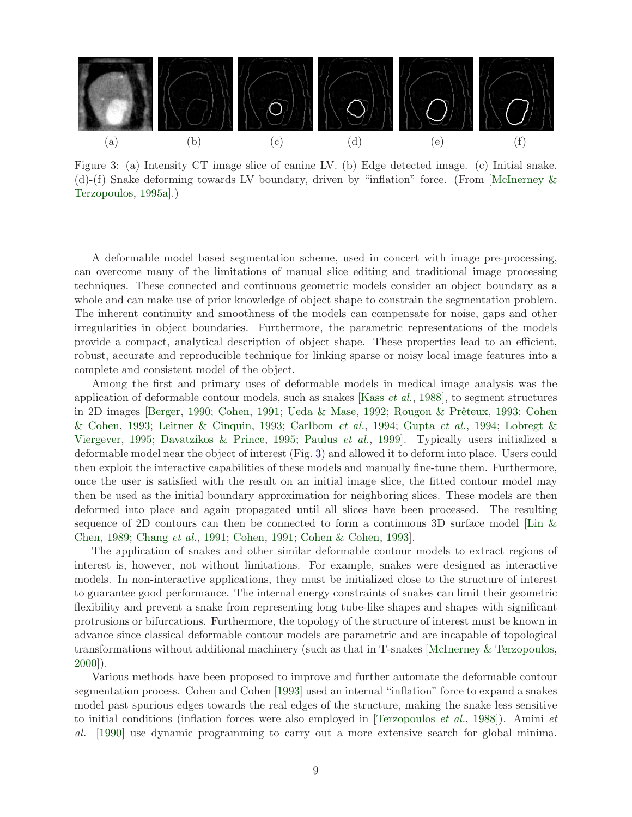<span id="page-8-1"></span>

<span id="page-8-0"></span>Figure 3: (a) Intensity CT image slice of canine LV. (b) Edge detected image. (c) Initial snake. (d)-(f) Sna[ke](#page-29-1) [deforming](#page-29-1) [towards](#page-29-1) [LV](#page-29-1) [boundary,](#page-29-1) [driven](#page-29-1) [by](#page-29-1) ["inflation"](#page-29-1) [force.](#page-29-1) [\(From](#page-29-1) [\[](#page-29-1)McInerney  $\&$ Terzopoulos, [1995a\]](#page-29-1).)

A deformable model based segmentation scheme, used in concert with image pre-processing, can overcome many of the limitations of manual slice editing and traditional image processing techniques. These connected and continuous geometric models consider an object boundary as a whole and can make use of prior knowledge of object shape to constrain the segmentation problem. The inherent continuity and smoothness of the models can compensate for noise, gaps and other irregularities in object boundaries. Furthermore, the parametric representations of the models provide a compact, analytical description of object shape. These properties lead to an efficient, robust, accurate and reproducible technique for linking sparse or noisy local image features into a complete and consistent model of the object.

Among the first and primary uses of deformable models in medical image analysis was the application of deformable contour models, such as snakes [Kass *[et al.](#page-28-0)*, [1988\]](#page-28-0), to segment structures in 2D images [\[Berger,](#page-23-5) [1990](#page-23-5); [Cohen,](#page-25-1) [1991](#page-25-1); [Ueda & Mase,](#page-33-3) [1992](#page-33-3); [Rougon & Prˆeteux](#page-31-4)[,](#page-25-2) [1993](#page-31-4); Cohen & Cohen, [1993](#page-25-2); [Leitner & Cinquin](#page-28-1)[,](#page-29-2) [1993](#page-28-1); [Carlbom](#page-24-1) *et al.*, [1994](#page-24-1); [Gupta](#page-27-1) *et al.*, [1994;](#page-27-1) Lobregt & Viergever, [1995](#page-29-2); [Davatzikos & Prince,](#page-25-3) [1995;](#page-25-3) [Paulus](#page-31-5) *et al.*, [1999](#page-31-5)]. Typically users initialized a deformable model near the object of interest (Fig. [3\)](#page-8-0) and allowed it to deform into place. Users could then exploit the interactive capabilities of these models and manually fine-tune them. Furthermore, once the user is satisfied with the result on an initial image slice, the fitted contour model may then be used as the initial boundary approximation for neighboring slices. These models are then deformed into place and again propagated until all slices have been processed. The resulting sequ[ence of 2D contours can then be connected to form a continuous 3D surface model \[](#page-29-3)Lin  $\&$ Chen, [1989](#page-29-3); [Chang](#page-24-2) *et al.*, [1991](#page-24-2); [Cohen](#page-25-1), [1991;](#page-25-1) [Cohen & Cohen,](#page-25-2) [1993](#page-25-2)].

The application of snakes and other similar deformable contour models to extract regions of interest is, however, not without limitations. For example, snakes were designed as interactive models. In non-interactive applications, they must be initialized close to the structure of interest to guarantee good performance. The internal energy constraints of snakes can limit their geometric flexibility and prevent a snake from representing long tube-like shapes and shapes with significant protrusions or bifurcations. Furthermore, the topology of the structure of interest must be known in advance since classical deformable contour models are parametric and are incapable of topological transformations without additional machinery (such as that in T-snakes [\[McInerney & Terzopoulos,](#page-30-0) [2000\]](#page-30-0)).

Various methods have been proposed to improve and further automate the deformable contour segmentation process. Cohen and Cohen [\[1993](#page-25-2)] used an internal "inflation" force to expand a snakes model past spurious edges towards the real edges of the structure, making the snake less sensitive to initial conditions (inflation forces were also employed in [\[Terzopoulos](#page-33-2) *et al.*, [1988](#page-33-2)]). Amini *et al.* [\[1990](#page-23-6)] use dynamic programming to carry out a more extensive search for global minima.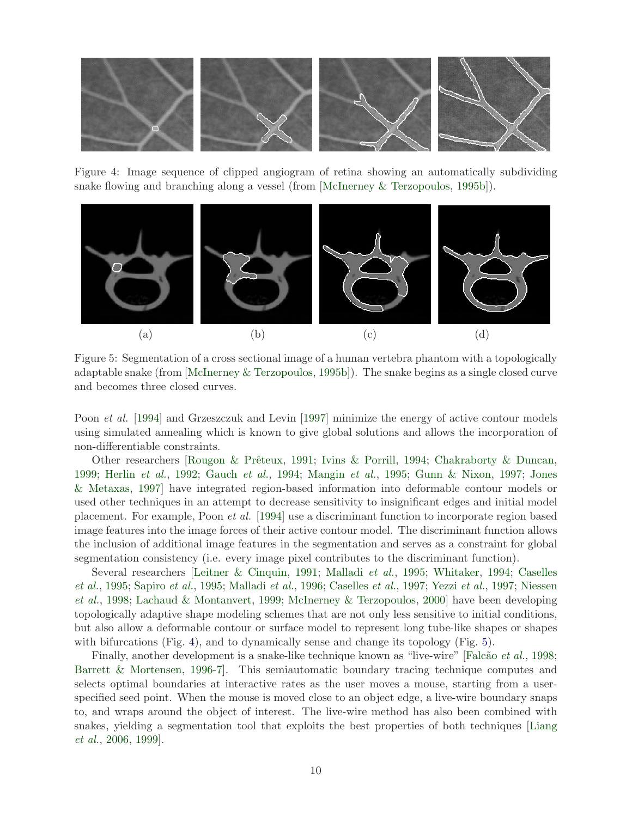<span id="page-9-2"></span>

<span id="page-9-0"></span>Figure 4: Image sequence of clipped angiogram of retina showing an automatically subdividing snake flowing and branching along a vessel (from [\[McInerney & Terzopoulos,](#page-29-4) [1995b\]](#page-29-4)).



<span id="page-9-1"></span>Figure 5: Segmentation of a cross sectional image of a human vertebra phantom with a topologically adaptable snake (from [\[McInerney & Terzopoulos](#page-29-4), [1995b\]](#page-29-4)). The snake begins as a single closed curve and becomes three closed curves.

Poon *et al.* [\[1994](#page-31-6)] and Grzeszczuk and Levin [\[1997\]](#page-27-2) minimize the energy of active contour models using simulated annealing which is known to give global solutions and allows the incorporation of non-differentiable constraints.

Other researchers [Rougon & Prêteux, [1991;](#page-31-7) [Ivins & Porrill](#page-28-2), [1994](#page-28-2); [Chakraborty & Duncan,](#page-24-3) [1999;](#page-24-3) [Herlin](#page-27-3) *et al.*, [1992](#page-27-3); [Gauch](#page-26-3) *et al.*, [1994](#page-26-3); [Mangin](#page-29-5) *et al.*, [1995](#page-29-5); [Gunn & Nixon](#page-27-4)[,](#page-28-3) [1997;](#page-27-4) Jones & Metaxas, [1997\]](#page-28-3) have integrated region-based information into deformable contour models or used other techniques in an attempt to decrease sensitivity to insignificant edges and initial model placement. For example, Poon *et al.* [\[1994](#page-31-6)] use a discriminant function to incorporate region based image features into the image forces of their active contour model. The discriminant function allows the inclusion of additional image features in the segmentation and serves as a constraint for global segmentation consistency (i.e. every image pixel contributes to the discriminant function).

S[everal researchers](#page-24-4) [\[Leitner & Cinquin](#page-28-4)[,](#page-24-4) [1991;](#page-28-4) [Malladi](#page-29-6) *et al.*, [1995](#page-29-6); [Whitaker,](#page-34-3) [1994](#page-34-3); Caselles *et al.*, [1995;](#page-24-4) [Sapiro](#page-31-8) *et al.*, [1995;](#page-31-8) [Malladi](#page-29-7) *et al.*, [1996;](#page-29-7) [Caselles](#page-24-5) *et al.*, [1997](#page-24-5); [Yezzi](#page-34-4) *et al.*, [1997](#page-34-4); Niessen *et al.*, [1998](#page-30-1); [Lachaud & Montanvert,](#page-28-5) [1999](#page-28-5); [McInerney & Terzopoulos](#page-30-0), [2000\]](#page-30-0) have been developing topologically adaptive shape modeling schemes that are not only less sensitive to initial conditions, but also allow a deformable contour or surface model to represent long tube-like shapes or shapes with bifurcations (Fig. [4\)](#page-9-0), and to dynamically sense and change its topology (Fig. [5\)](#page-9-1).

Finally, another development is a snake-like technique known as "live-wire" [Falcão *et al.*, [1998;](#page-26-4) [Barrett & Mortensen](#page-23-7), [1996-7](#page-23-7)]. This semiautomatic boundary tracing technique computes and selects optimal boundaries at interactive rates as the user moves a mouse, starting from a userspecified seed point. When the mouse is moved close to an object edge, a live-wire boundary snaps to, and wraps around the object of interest. The live-wire method has also been combined with snak[es, yielding a segmentation tool that exploits the best properties of both techniques \[](#page-29-8)Liang *et al.*, [2006,](#page-29-8) [1999](#page-28-6)].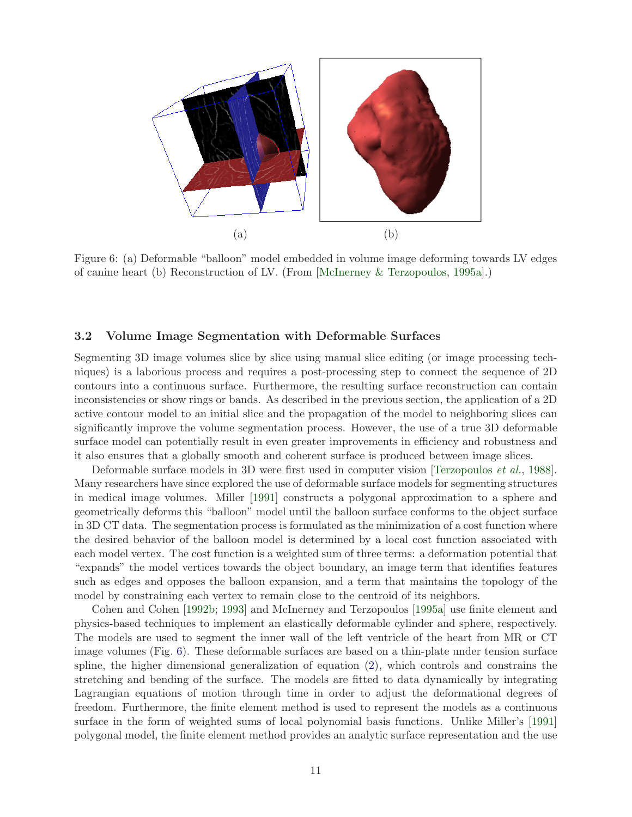<span id="page-10-2"></span>

<span id="page-10-1"></span>Figure 6: (a) Deformable "balloon" model embedded in volume image deforming towards LV edges of canine heart (b) Reconstruction of LV. (From [\[McInerney & Terzopoulos,](#page-29-1) [1995a\]](#page-29-1).)

#### <span id="page-10-0"></span>**3.2 Volume Image Segmentation with Deformable Surfaces**

Segmenting 3D image volumes slice by slice using manual slice editing (or image processing techniques) is a laborious process and requires a post-processing step to connect the sequence of 2D contours into a continuous surface. Furthermore, the resulting surface reconstruction can contain inconsistencies or show rings or bands. As described in the previous section, the application of a 2D active contour model to an initial slice and the propagation of the model to neighboring slices can significantly improve the volume segmentation process. However, the use of a true 3D deformable surface model can potentially result in even greater improvements in efficiency and robustness and it also ensures that a globally smooth and coherent surface is produced between image slices.

Deformable surface models in 3D were first used in computer vision [\[Terzopoulos](#page-33-2) *et al.*, [1988\]](#page-33-2). Many researchers have since explored the use of deformable surface models for segmenting structures in medical image volumes. Miller [\[1991\]](#page-30-2) constructs a polygonal approximation to a sphere and geometrically deforms this "balloon" model until the balloon surface conforms to the object surface in 3D CT data. The segmentation process is formulated as the minimization of a cost function where the desired behavior of the balloon model is determined by a local cost function associated with each model vertex. The cost function is a weighted sum of three terms: a deformation potential that "expands" the model vertices towards the object boundary, an image term that identifies features such as edges and opposes the balloon expansion, and a term that maintains the topology of the model by constraining each vertex to remain close to the centroid of its neighbors.

Cohen and Cohen [\[1992b](#page-25-4); [1993](#page-25-2)] and McInerney and Terzopoulos [\[1995a\]](#page-29-1) use finite element and physics-based techniques to implement an elastically deformable cylinder and sphere, respectively. The models are used to segment the inner wall of the left ventricle of the heart from MR or CT image volumes (Fig. [6\)](#page-10-1). These deformable surfaces are based on a thin-plate under tension surface spline, the higher dimensional generalization of equation [\(2\)](#page-4-3), which controls and constrains the stretching and bending of the surface. The models are fitted to data dynamically by integrating Lagrangian equations of motion through time in order to adjust the deformational degrees of freedom. Furthermore, the finite element method is used to represent the models as a continuous surface in the form of weighted sums of local polynomial basis functions. Unlike Miller's [\[1991\]](#page-30-2) polygonal model, the finite element method provides an analytic surface representation and the use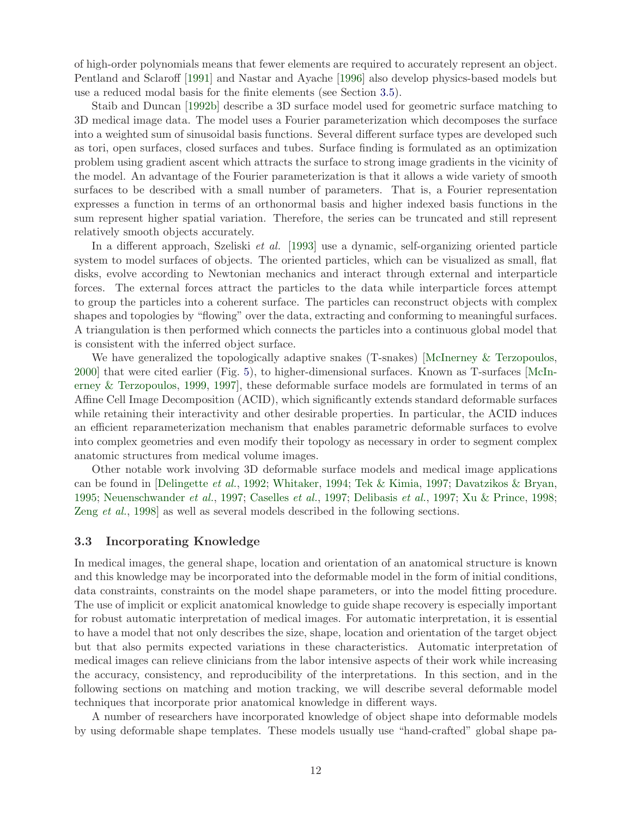<span id="page-11-1"></span>of high-order polynomials means that fewer elements are required to accurately represent an object. Pentland and Sclaroff [\[1991](#page-31-9)] and Nastar and Ayache [\[1996\]](#page-30-3) also develop physics-based models but use a reduced modal basis for the finite elements (see Section [3.5\)](#page-15-0).

Staib and Duncan [\[1992b](#page-32-6)] describe a 3D surface model used for geometric surface matching to 3D medical image data. The model uses a Fourier parameterization which decomposes the surface into a weighted sum of sinusoidal basis functions. Several different surface types are developed such as tori, open surfaces, closed surfaces and tubes. Surface finding is formulated as an optimization problem using gradient ascent which attracts the surface to strong image gradients in the vicinity of the model. An advantage of the Fourier parameterization is that it allows a wide variety of smooth surfaces to be described with a small number of parameters. That is, a Fourier representation expresses a function in terms of an orthonormal basis and higher indexed basis functions in the sum represent higher spatial variation. Therefore, the series can be truncated and still represent relatively smooth objects accurately.

In a different approach, Szeliski *et al.* [\[1993\]](#page-32-7) use a dynamic, self-organizing oriented particle system to model surfaces of objects. The oriented particles, which can be visualized as small, flat disks, evolve according to Newtonian mechanics and interact through external and interparticle forces. The external forces attract the particles to the data while interparticle forces attempt to group the particles into a coherent surface. The particles can reconstruct objects with complex shapes and topologies by "flowing" over the data, extracting and conforming to meaningful surfaces. A triangulation is then performed which connects the particles into a continuous global model that is consistent with the inferred object surface.

We have generalized the topologically adaptive snakes (T-snakes) [\[McInerney & Terzopoulos,](#page-30-0) [2000\]](#page-30-0) that were cited earlier (Fig. [5\)](#page-9-1)[, to higher-dimensional surfaces. Known as T-surfaces \[](#page-29-9)McInerney & Terzopoulos, [1999](#page-29-9), [1997\]](#page-29-10), these deformable surface models are formulated in terms of an Affine Cell Image Decomposition (ACID), which significantly extends standard deformable surfaces while retaining their interactivity and other desirable properties. In particular, the ACID induces an efficient reparameterization mechanism that enables parametric deformable surfaces to evolve into complex geometries and even modify their topology as necessary in order to segment complex anatomic structures from medical volume images.

Other notable work involving 3D deformable surface models and medical image applications can be found in [\[Delingette](#page-25-5) *et al.*, [1992;](#page-25-5) [Whitaker,](#page-34-3) [1994](#page-34-3); [Tek & Kimia](#page-32-8), [1997](#page-32-8); [Davatzikos & Bryan,](#page-25-6) [1995;](#page-25-6) [Neuenschwander](#page-30-4) *et al.*, [1997;](#page-30-4) [Caselles](#page-24-5) *et al.*, [1997](#page-24-5); [Delibasis](#page-25-7) *et al.*, [1997](#page-25-7); [Xu & Prince,](#page-34-5) [1998;](#page-34-5) Zeng *[et al.](#page-34-6)*, [1998](#page-34-6)] as well as several models described in the following sections.

#### <span id="page-11-0"></span>**3.3 Incorporating Knowledge**

In medical images, the general shape, location and orientation of an anatomical structure is known and this knowledge may be incorporated into the deformable model in the form of initial conditions, data constraints, constraints on the model shape parameters, or into the model fitting procedure. The use of implicit or explicit anatomical knowledge to guide shape recovery is especially important for robust automatic interpretation of medical images. For automatic interpretation, it is essential to have a model that not only describes the size, shape, location and orientation of the target object but that also permits expected variations in these characteristics. Automatic interpretation of medical images can relieve clinicians from the labor intensive aspects of their work while increasing the accuracy, consistency, and reproducibility of the interpretations. In this section, and in the following sections on matching and motion tracking, we will describe several deformable model techniques that incorporate prior anatomical knowledge in different ways.

A number of researchers have incorporated knowledge of object shape into deformable models by using deformable shape templates. These models usually use "hand-crafted" global shape pa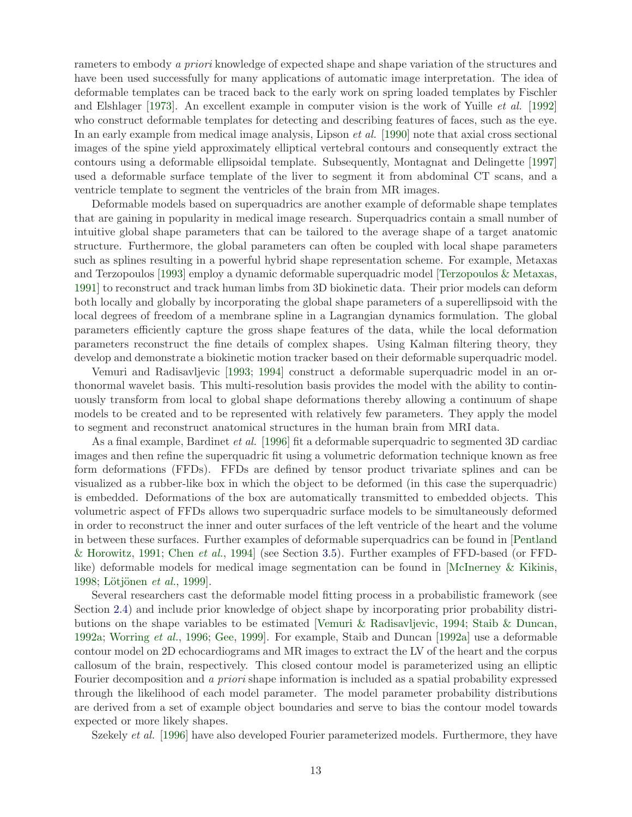<span id="page-12-0"></span>rameters to embody *a priori* knowledge of expected shape and shape variation of the structures and have been used successfully for many applications of automatic image interpretation. The idea of deformable templates can be traced back to the early work on spring loaded templates by Fischler and Elshlager [\[1973](#page-26-1)]. An excellent example in computer vision is the work of Yuille *et al.* [\[1992\]](#page-34-7) who construct deformable templates for detecting and describing features of faces, such as the eye. In an early example from medical image analysis, Lipson *et al.* [\[1990](#page-29-11)] note that axial cross sectional images of the spine yield approximately elliptical vertebral contours and consequently extract the contours using a deformable ellipsoidal template. Subsequently, Montagnat and Delingette [\[1997\]](#page-30-5) used a deformable surface template of the liver to segment it from abdominal CT scans, and a ventricle template to segment the ventricles of the brain from MR images.

Deformable models based on superquadrics are another example of deformable shape templates that are gaining in popularity in medical image research. Superquadrics contain a small number of intuitive global shape parameters that can be tailored to the average shape of a target anatomic structure. Furthermore, the global parameters can often be coupled with local shape parameters such as splines resulting in a powerful hybrid shape representation scheme. For example, Metaxas and Terzopoulos [\[1993](#page-30-6)] employ a dynamic deformable superquadric model [\[Terzopoulos & Metaxas,](#page-32-9) [1991\]](#page-32-9) to reconstruct and track human limbs from 3D biokinetic data. Their prior models can deform both locally and globally by incorporating the global shape parameters of a superellipsoid with the local degrees of freedom of a membrane spline in a Lagrangian dynamics formulation. The global parameters efficiently capture the gross shape features of the data, while the local deformation parameters reconstruct the fine details of complex shapes. Using Kalman filtering theory, they develop and demonstrate a biokinetic motion tracker based on their deformable superquadric model.

Vemuri and Radisavljevic [\[1993;](#page-33-4) [1994](#page-33-5)] construct a deformable superquadric model in an orthonormal wavelet basis. This multi-resolution basis provides the model with the ability to continuously transform from local to global shape deformations thereby allowing a continuum of shape models to be created and to be represented with relatively few parameters. They apply the model to segment and reconstruct anatomical structures in the human brain from MRI data.

As a final example, Bardinet *et al.* [\[1996](#page-23-8)] fit a deformable superquadric to segmented 3D cardiac images and then refine the superquadric fit using a volumetric deformation technique known as free form deformations (FFDs). FFDs are defined by tensor product trivariate splines and can be visualized as a rubber-like box in which the object to be deformed (in this case the superquadric) is embedded. Deformations of the box are automatically transmitted to embedded objects. This volumetric aspect of FFDs allows two superquadric surface models to be simultaneously deformed in order to reconstruct the inner and outer surfaces of the left ventricle of the heart and the volume in between [these](#page-31-10) [surfaces.](#page-31-10) [Further](#page-31-10) [examples](#page-31-10) [of](#page-31-10) [deformable](#page-31-10) [superquadrics](#page-31-10) [can](#page-31-10) [be](#page-31-10) [found](#page-31-10) [in](#page-31-10) [\[](#page-31-10)Pentland & Horowitz, [1991](#page-31-10); [Chen](#page-24-6) *et al.*, [1994](#page-24-6)] (see Section [3.5\)](#page-15-0). Further examples of FFD-based (or FFDlike) deformable models for medical image segmentation can be found in [\[McInerney & Kikinis,](#page-29-12) [1998;](#page-29-12) Lötjönen *et al.*, [1999](#page-29-13)].

Several researchers cast the deformable model fitting process in a probabilistic framework (see Section [2.4\)](#page-6-0) and include prior knowledge of object shape by incorporating prior probability distributions on the shape variables to be estimated [\[Vemuri & Radisavljevic,](#page-33-5) [1994;](#page-33-5) [Staib & Duncan,](#page-32-10) [1992a](#page-32-10); [Worring](#page-34-8) *et al.*, [1996;](#page-34-8) [Gee,](#page-26-5) [1999](#page-26-5)]. For example, Staib and Duncan [\[1992a\]](#page-32-10) use a deformable contour model on 2D echocardiograms and MR images to extract the LV of the heart and the corpus callosum of the brain, respectively. This closed contour model is parameterized using an elliptic Fourier decomposition and *a priori* shape information is included as a spatial probability expressed through the likelihood of each model parameter. The model parameter probability distributions are derived from a set of example object boundaries and serve to bias the contour model towards expected or more likely shapes.

Szekely *et al.* [\[1996\]](#page-32-11) have also developed Fourier parameterized models. Furthermore, they have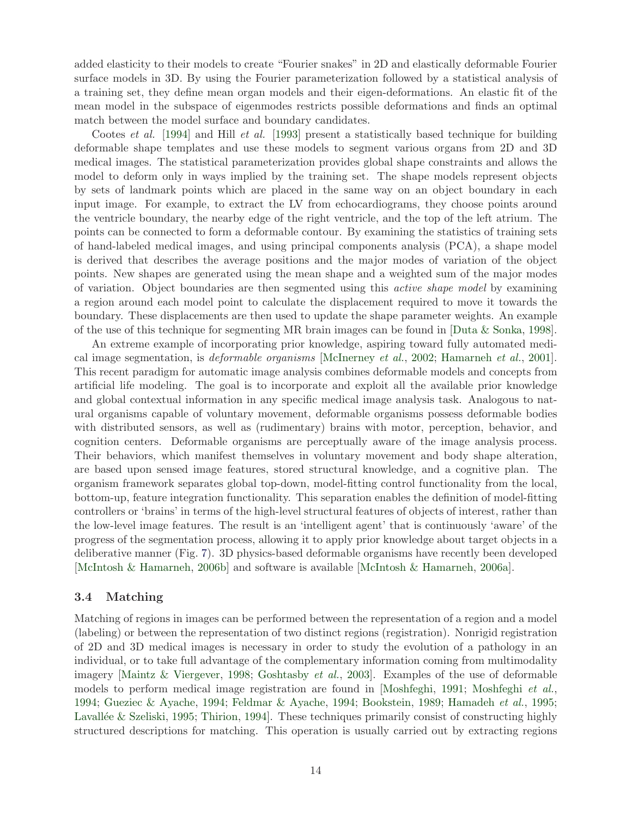<span id="page-13-1"></span>added elasticity to their models to create "Fourier snakes" in 2D and elastically deformable Fourier surface models in 3D. By using the Fourier parameterization followed by a statistical analysis of a training set, they define mean organ models and their eigen-deformations. An elastic fit of the mean model in the subspace of eigenmodes restricts possible deformations and finds an optimal match between the model surface and boundary candidates.

Cootes *et al.* [\[1994\]](#page-25-8) and Hill *et al.* [\[1993\]](#page-27-5) present a statistically based technique for building deformable shape templates and use these models to segment various organs from 2D and 3D medical images. The statistical parameterization provides global shape constraints and allows the model to deform only in ways implied by the training set. The shape models represent objects by sets of landmark points which are placed in the same way on an object boundary in each input image. For example, to extract the LV from echocardiograms, they choose points around the ventricle boundary, the nearby edge of the right ventricle, and the top of the left atrium. The points can be connected to form a deformable contour. By examining the statistics of training sets of hand-labeled medical images, and using principal components analysis (PCA), a shape model is derived that describes the average positions and the major modes of variation of the object points. New shapes are generated using the mean shape and a weighted sum of the major modes of variation. Object boundaries are then segmented using this *active shape model* by examining a region around each model point to calculate the displacement required to move it towards the boundary. These displacements are then used to update the shape parameter weights. An example of the use of this technique for segmenting MR brain images can be found in [\[Duta & Sonka,](#page-26-6) [1998\]](#page-26-6).

An extreme example of incorporating prior knowledge, aspiring toward fully automated medical image segmentation, is *deformable organisms* [\[McInerney](#page-30-7) *et al.*, [2002;](#page-30-7) [Hamarneh](#page-27-6) *et al.*, [2001\]](#page-27-6). This recent paradigm for automatic image analysis combines deformable models and concepts from artificial life modeling. The goal is to incorporate and exploit all the available prior knowledge and global contextual information in any specific medical image analysis task. Analogous to natural organisms capable of voluntary movement, deformable organisms possess deformable bodies with distributed sensors, as well as (rudimentary) brains with motor, perception, behavior, and cognition centers. Deformable organisms are perceptually aware of the image analysis process. Their behaviors, which manifest themselves in voluntary movement and body shape alteration, are based upon sensed image features, stored structural knowledge, and a cognitive plan. The organism framework separates global top-down, model-fitting control functionality from the local, bottom-up, feature integration functionality. This separation enables the definition of model-fitting controllers or 'brains' in terms of the high-level structural features of objects of interest, rather than the low-level image features. The result is an 'intelligent agent' that is continuously 'aware' of the progress of the segmentation process, allowing it to apply prior knowledge about target objects in a deliberative manner (Fig. [7\)](#page-14-0). 3D physics-based deformable organisms have recently been developed [\[McIntosh & Hamarneh,](#page-30-8) [2006b](#page-30-8)] and software is available [\[McIntosh & Hamarneh,](#page-30-9) [2006a\]](#page-30-9).

#### <span id="page-13-0"></span>**3.4 Matching**

Matching of regions in images can be performed between the representation of a region and a model (labeling) or between the representation of two distinct regions (registration). Nonrigid registration of 2D and 3D medical images is necessary in order to study the evolution of a pathology in an individual, or to take full advantage of the complementary information coming from multimodality imagery [\[Maintz & Viergever](#page-29-14), [1998;](#page-29-14) [Goshtasby](#page-27-7) *et al.*, [2003](#page-27-7)]. Examples of the use of deformable models to perform medical image registration are found in [\[Moshfeghi,](#page-30-10) [1991;](#page-30-10) [Moshfeghi](#page-30-11) *et al.*, [1994;](#page-30-11) [Gueziec & Ayache](#page-27-8), [1994;](#page-27-8) [Feldmar & Ayache](#page-26-7), [1994](#page-26-7); [Bookstein](#page-24-7), [1989](#page-24-7); [Hamadeh](#page-27-9) *et al.*, [1995;](#page-27-9) Lavallée & Szeliski, [1995](#page-28-7); [Thirion](#page-33-6), [1994\]](#page-33-6). These techniques primarily consist of constructing highly structured descriptions for matching. This operation is usually carried out by extracting regions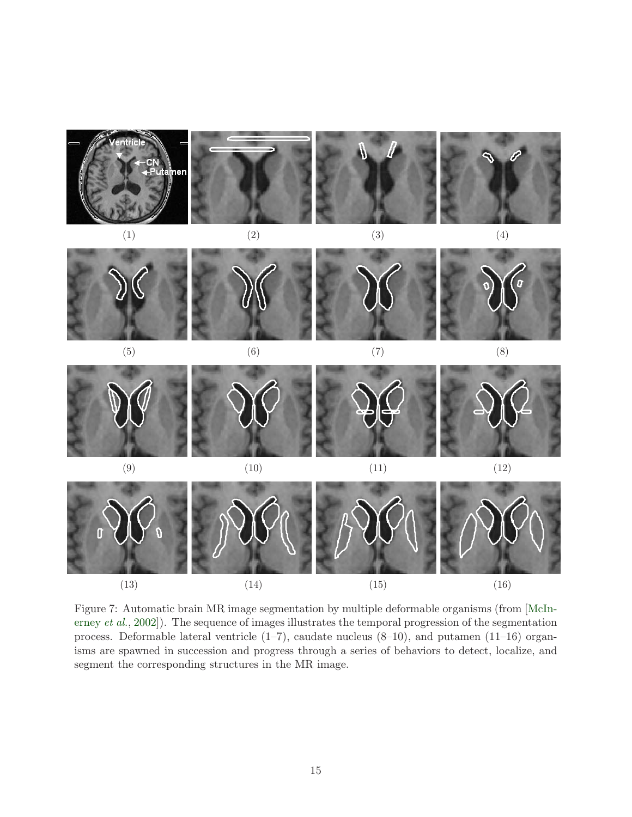<span id="page-14-1"></span>

<span id="page-14-0"></span>Figure 7: [Automatic](#page-30-7) [brain](#page-30-7) [MR](#page-30-7) [image](#page-30-7) [segmentation](#page-30-7) [by](#page-30-7) [multiple](#page-30-7) [deformable](#page-30-7) [organisms](#page-30-7) [\(from](#page-30-7) [\[](#page-30-7)McInerney *et al.*, [2002\]](#page-30-7)). The sequence of images illustrates the temporal progression of the segmentation process. Deformable lateral ventricle  $(1-7)$ , caudate nucleus  $(8-10)$ , and putamen  $(11-16)$  organisms are spawned in succession and progress through a series of behaviors to detect, localize, and segment the corresponding structures in the MR image.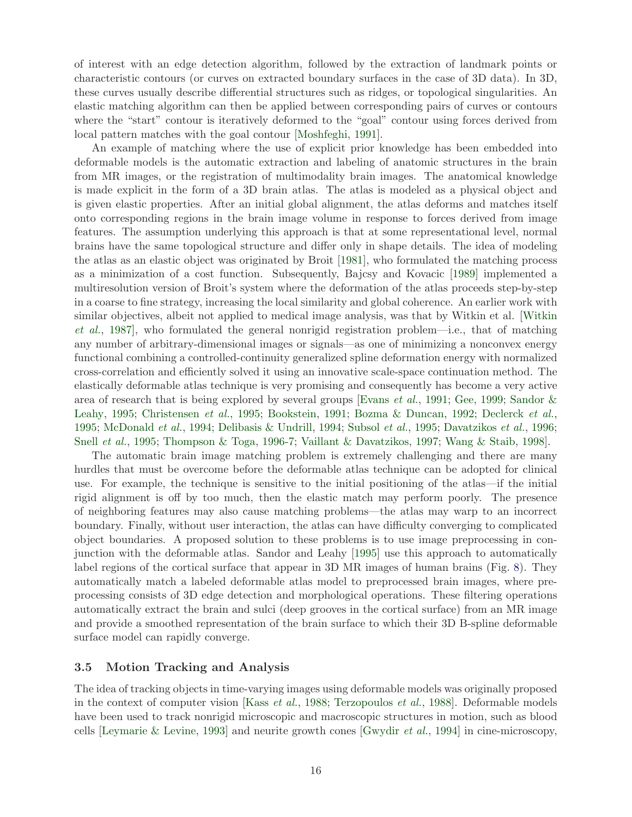<span id="page-15-1"></span>of interest with an edge detection algorithm, followed by the extraction of landmark points or characteristic contours (or curves on extracted boundary surfaces in the case of 3D data). In 3D, these curves usually describe differential structures such as ridges, or topological singularities. An elastic matching algorithm can then be applied between corresponding pairs of curves or contours where the "start" contour is iteratively deformed to the "goal" contour using forces derived from local pattern matches with the goal contour [\[Moshfeghi,](#page-30-10) [1991](#page-30-10)].

An example of matching where the use of explicit prior knowledge has been embedded into deformable models is the automatic extraction and labeling of anatomic structures in the brain from MR images, or the registration of multimodality brain images. The anatomical knowledge is made explicit in the form of a 3D brain atlas. The atlas is modeled as a physical object and is given elastic properties. After an initial global alignment, the atlas deforms and matches itself onto corresponding regions in the brain image volume in response to forces derived from image features. The assumption underlying this approach is that at some representational level, normal brains have the same topological structure and differ only in shape details. The idea of modeling the atlas as an elastic object was originated by Broit [\[1981\]](#page-24-8), who formulated the matching process as a minimization of a cost function. Subsequently, Bajcsy and Kovacic [\[1989\]](#page-23-9) implemented a multiresolution version of Broit's system where the deformation of the atlas proceeds step-by-step in a coarse to fine strategy, increasing the local similarity and global coherence. An earlier work with simil[ar](#page-34-9) [objectives,](#page-34-9) [albeit](#page-34-9) [not](#page-34-9) [applied](#page-34-9) [to](#page-34-9) [medical](#page-34-9) [image](#page-34-9) [analysis,](#page-34-9) [was](#page-34-9) [that](#page-34-9) [by](#page-34-9) [Witkin](#page-34-9) [et](#page-34-9) [al.](#page-34-9) [\[](#page-34-9)Witkin *et al.*, [1987\]](#page-34-9), who formulated the general nonrigid registration problem—i.e., that of matching any number of arbitrary-dimensional images or signals—as one of minimizing a nonconvex energy functional combining a controlled-continuity generalized spline deformation energy with normalized cross-correlation and efficiently solved it using an innovative scale-space continuation method. The elastically deformable atlas technique is very promising and consequently has become a very active area [of research that is being explored by several groups](#page-31-11) [\[Evans](#page-26-8) *et al.*, [1991;](#page-26-8) [Gee,](#page-26-5) [1999;](#page-26-5) Sandor & Leahy, [1995;](#page-31-11) [Christensen](#page-24-9) *et al.*, [1995](#page-24-9); [Bookstein,](#page-24-10) [1991](#page-24-10); [Bozma & Duncan](#page-24-11), [1992;](#page-24-11) [Declerck](#page-25-9) *et al.*, [1995;](#page-25-9) [McDonald](#page-29-15) *et al.*, [1994;](#page-29-15) [Delibasis & Undrill,](#page-25-10) [1994;](#page-25-10) [Subsol](#page-32-12) *et al.*, [1995;](#page-32-12) [Davatzikos](#page-25-11) *et al.*, [1996;](#page-25-11) Snell *[et al.](#page-31-12)*, [1995](#page-31-12); [Thompson & Toga,](#page-33-7) [1996-7](#page-33-7); [Vaillant & Davatzikos](#page-33-8), [1997;](#page-33-8) [Wang & Staib](#page-33-9), [1998\]](#page-33-9).

The automatic brain image matching problem is extremely challenging and there are many hurdles that must be overcome before the deformable atlas technique can be adopted for clinical use. For example, the technique is sensitive to the initial positioning of the atlas—if the initial rigid alignment is off by too much, then the elastic match may perform poorly. The presence of neighboring features may also cause matching problems—the atlas may warp to an incorrect boundary. Finally, without user interaction, the atlas can have difficulty converging to complicated object boundaries. A proposed solution to these problems is to use image preprocessing in conjunction with the deformable atlas. Sandor and Leahy [\[1995](#page-31-11)] use this approach to automatically label regions of the cortical surface that appear in 3D MR images of human brains (Fig. [8\)](#page-16-0). They automatically match a labeled deformable atlas model to preprocessed brain images, where preprocessing consists of 3D edge detection and morphological operations. These filtering operations automatically extract the brain and sulci (deep grooves in the cortical surface) from an MR image and provide a smoothed representation of the brain surface to which their 3D B-spline deformable surface model can rapidly converge.

#### <span id="page-15-0"></span>**3.5 Motion Tracking and Analysis**

The idea of tracking objects in time-varying images using deformable models was originally proposed in the context of computer vision [Kass *[et al.](#page-28-0)*, [1988](#page-28-0); [Terzopoulos](#page-33-2) *et al.*, [1988](#page-33-2)]. Deformable models have been used to track nonrigid microscopic and macroscopic structures in motion, such as blood cells [\[Leymarie & Levine,](#page-28-8) [1993](#page-28-8)] and neurite growth cones [\[Gwydir](#page-27-10) *et al.*, [1994](#page-27-10)] in cine-microscopy,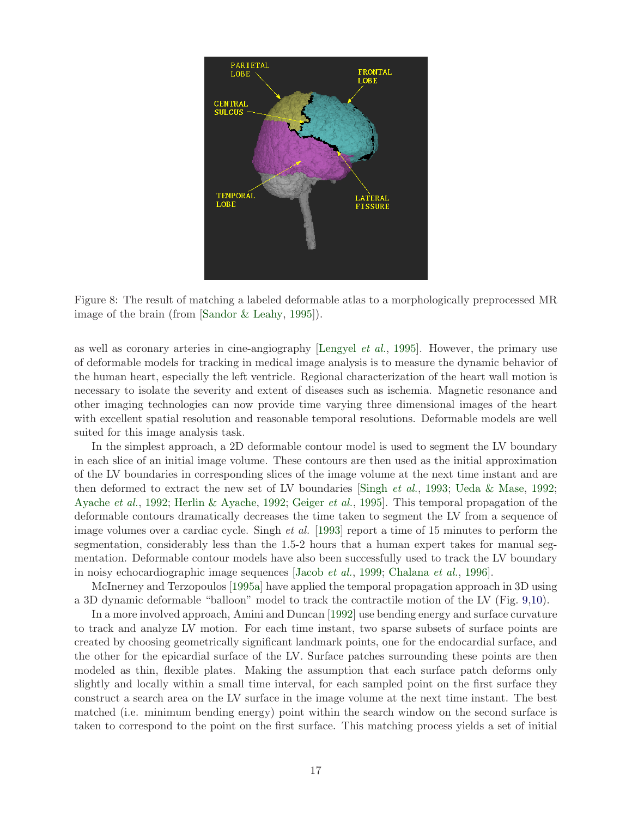<span id="page-16-1"></span>

<span id="page-16-0"></span>Figure 8: The result of matching a labeled deformable atlas to a morphologically preprocessed MR image of the brain (from [\[Sandor & Leahy](#page-31-11), [1995\]](#page-31-11)).

as well as coronary arteries in cine-angiography [\[Lengyel](#page-28-9) *et al.*, [1995](#page-28-9)]. However, the primary use of deformable models for tracking in medical image analysis is to measure the dynamic behavior of the human heart, especially the left ventricle. Regional characterization of the heart wall motion is necessary to isolate the severity and extent of diseases such as ischemia. Magnetic resonance and other imaging technologies can now provide time varying three dimensional images of the heart with excellent spatial resolution and reasonable temporal resolutions. Deformable models are well suited for this image analysis task.

In the simplest approach, a 2D deformable contour model is used to segment the LV boundary in each slice of an initial image volume. These contours are then used as the initial approximation of the LV boundaries in corresponding slices of the image volume at the next time instant and are then deformed to extract the new set of LV boundaries [\[Singh](#page-31-3) *et al.*, [1993](#page-31-3); [Ueda & Mase,](#page-33-3) [1992;](#page-33-3) [Ayache](#page-23-10) *et al.*, [1992](#page-23-10); [Herlin & Ayache](#page-27-11), [1992;](#page-27-11) [Geiger](#page-26-9) *et al.*, [1995](#page-26-9)]. This temporal propagation of the deformable contours dramatically decreases the time taken to segment the LV from a sequence of image volumes over a cardiac cycle. Singh *et al.* [\[1993\]](#page-31-3) report a time of 15 minutes to perform the segmentation, considerably less than the 1.5-2 hours that a human expert takes for manual segmentation. Deformable contour models have also been successfully used to track the LV boundary in noisy echocardiographic image sequences [\[Jacob](#page-28-10) *et al.*, [1999;](#page-28-10) [Chalana](#page-24-12) *et al.*, [1996](#page-24-12)].

McInerney and Terzopoulos [\[1995a](#page-29-1)] have applied the temporal propagation approach in 3D using a 3D dynamic deformable "balloon" model to track the contractile motion of the LV (Fig. [9,](#page-17-0)[10\)](#page-18-0).

In a more involved approach, Amini and Duncan [\[1992](#page-23-11)] use bending energy and surface curvature to track and analyze LV motion. For each time instant, two sparse subsets of surface points are created by choosing geometrically significant landmark points, one for the endocardial surface, and the other for the epicardial surface of the LV. Surface patches surrounding these points are then modeled as thin, flexible plates. Making the assumption that each surface patch deforms only slightly and locally within a small time interval, for each sampled point on the first surface they construct a search area on the LV surface in the image volume at the next time instant. The best matched (i.e. minimum bending energy) point within the search window on the second surface is taken to correspond to the point on the first surface. This matching process yields a set of initial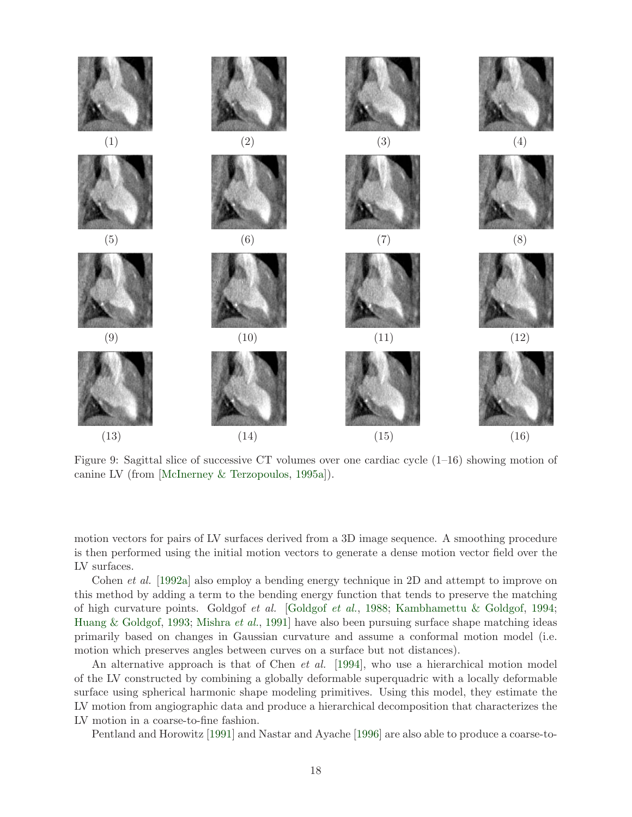<span id="page-17-1"></span>

<span id="page-17-0"></span>Figure 9: Sagittal slice of successive CT volumes over one cardiac cycle (1–16) showing motion of canine LV (from [\[McInerney & Terzopoulos,](#page-29-1) [1995a\]](#page-29-1)).

motion vectors for pairs of LV surfaces derived from a 3D image sequence. A smoothing procedure is then performed using the initial motion vectors to generate a dense motion vector field over the LV surfaces.

Cohen *et al.* [\[1992a\]](#page-24-13) also employ a bending energy technique in 2D and attempt to improve on this method by adding a term to the bending energy function that tends to preserve the matching of high curvature points. Goldgof *et al.* [\[Goldgof](#page-27-12) *et al.*, [1988;](#page-27-12) [Kambhamettu & Goldgof](#page-28-11), [1994;](#page-28-11) [Huang & Goldgof,](#page-27-13) [1993;](#page-27-13) [Mishra](#page-30-12) *et al.*, [1991](#page-30-12)] have also been pursuing surface shape matching ideas primarily based on changes in Gaussian curvature and assume a conformal motion model (i.e. motion which preserves angles between curves on a surface but not distances).

An alternative approach is that of Chen *et al.* [\[1994\]](#page-24-6), who use a hierarchical motion model of the LV constructed by combining a globally deformable superquadric with a locally deformable surface using spherical harmonic shape modeling primitives. Using this model, they estimate the LV motion from angiographic data and produce a hierarchical decomposition that characterizes the LV motion in a coarse-to-fine fashion.

Pentland and Horowitz [\[1991\]](#page-31-10) and Nastar and Ayache [\[1996](#page-30-3)] are also able to produce a coarse-to-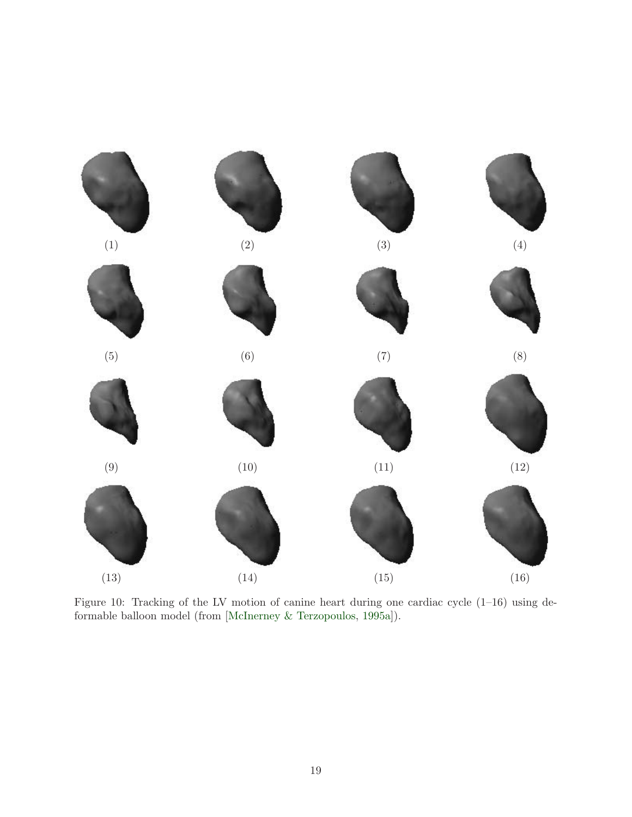<span id="page-18-1"></span>

<span id="page-18-0"></span>Figure 10: Tracking of the LV motion of canine heart during one cardiac cycle (1–16) using deformable balloon model (from [\[McInerney & Terzopoulos,](#page-29-1) [1995a\]](#page-29-1)).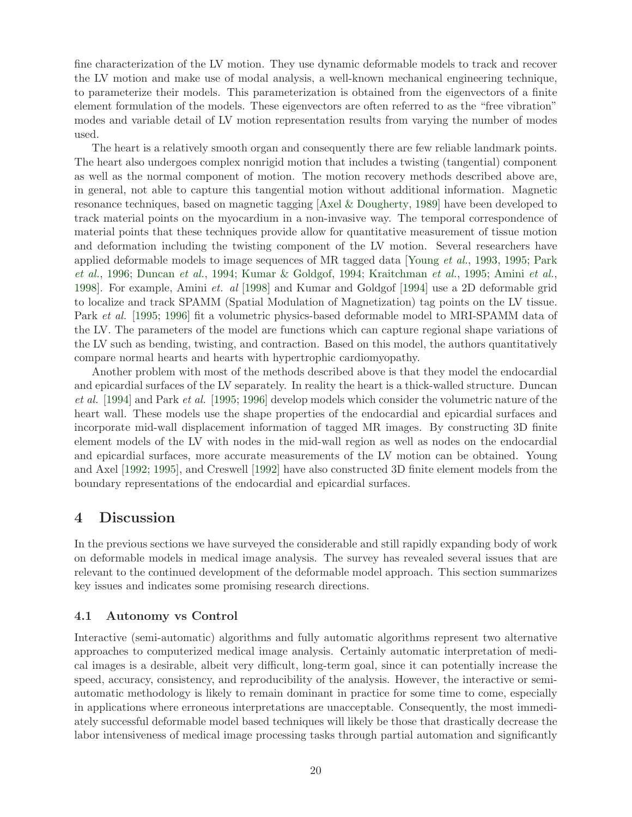<span id="page-19-2"></span>fine characterization of the LV motion. They use dynamic deformable models to track and recover the LV motion and make use of modal analysis, a well-known mechanical engineering technique, to parameterize their models. This parameterization is obtained from the eigenvectors of a finite element formulation of the models. These eigenvectors are often referred to as the "free vibration" modes and variable detail of LV motion representation results from varying the number of modes used.

The heart is a relatively smooth organ and consequently there are few reliable landmark points. The heart also undergoes complex nonrigid motion that includes a twisting (tangential) component as well as the normal component of motion. The motion recovery methods described above are, in general, not able to capture this tangential motion without additional information. Magnetic resonance techniques, based on magnetic tagging [\[Axel & Dougherty](#page-23-12), [1989](#page-23-12)] have been developed to track material points on the myocardium in a non-invasive way. The temporal correspondence of material points that these techniques provide allow for quantitative measurement of tissue motion and deformation including the twisting component of the LV motion. Several researchers have appli[ed](#page-30-13) [deformable](#page-30-13) [models](#page-30-13) [to](#page-30-13) [image](#page-30-13) [sequences](#page-30-13) [of](#page-30-13) [MR](#page-30-13) [tagged](#page-30-13) [data](#page-30-13) [\[Young](#page-34-10) *et al.*, [1993](#page-34-10), [1995;](#page-34-11) Park *et al.*, [1996;](#page-30-13) [Duncan](#page-26-10) *et al.*, [1994](#page-26-10); [Kumar & Goldgof](#page-28-12), [1994](#page-28-12); [Kraitchman](#page-28-13) *et al.*, [1995;](#page-28-13) [Amini](#page-23-13) *et al.*, [1998\]](#page-23-13). For example, Amini *et. al* [\[1998](#page-23-13)] and Kumar and Goldgof [\[1994](#page-28-12)] use a 2D deformable grid to localize and track SPAMM (Spatial Modulation of Magnetization) tag points on the LV tissue. Park *et al.* [\[1995;](#page-30-14) [1996](#page-30-13)] fit a volumetric physics-based deformable model to MRI-SPAMM data of the LV. The parameters of the model are functions which can capture regional shape variations of the LV such as bending, twisting, and contraction. Based on this model, the authors quantitatively compare normal hearts and hearts with hypertrophic cardiomyopathy.

Another problem with most of the methods described above is that they model the endocardial and epicardial surfaces of the LV separately. In reality the heart is a thick-walled structure. Duncan *et al.* [\[1994\]](#page-26-10) and Park *et al.* [\[1995](#page-30-14); [1996\]](#page-30-13) develop models which consider the volumetric nature of the heart wall. These models use the shape properties of the endocardial and epicardial surfaces and incorporate mid-wall displacement information of tagged MR images. By constructing 3D finite element models of the LV with nodes in the mid-wall region as well as nodes on the endocardial and epicardial surfaces, more accurate measurements of the LV motion can be obtained. Young and Axel [\[1992;](#page-34-12) [1995\]](#page-34-11), and Creswell [\[1992](#page-25-12)] have also constructed 3D finite element models from the boundary representations of the endocardial and epicardial surfaces.

## <span id="page-19-0"></span>**4 Discussion**

In the previous sections we have surveyed the considerable and still rapidly expanding body of work on deformable models in medical image analysis. The survey has revealed several issues that are relevant to the continued development of the deformable model approach. This section summarizes key issues and indicates some promising research directions.

#### <span id="page-19-1"></span>**4.1 Autonomy vs Control**

Interactive (semi-automatic) algorithms and fully automatic algorithms represent two alternative approaches to computerized medical image analysis. Certainly automatic interpretation of medical images is a desirable, albeit very difficult, long-term goal, since it can potentially increase the speed, accuracy, consistency, and reproducibility of the analysis. However, the interactive or semiautomatic methodology is likely to remain dominant in practice for some time to come, especially in applications where erroneous interpretations are unacceptable. Consequently, the most immediately successful deformable model based techniques will likely be those that drastically decrease the labor intensiveness of medical image processing tasks through partial automation and significantly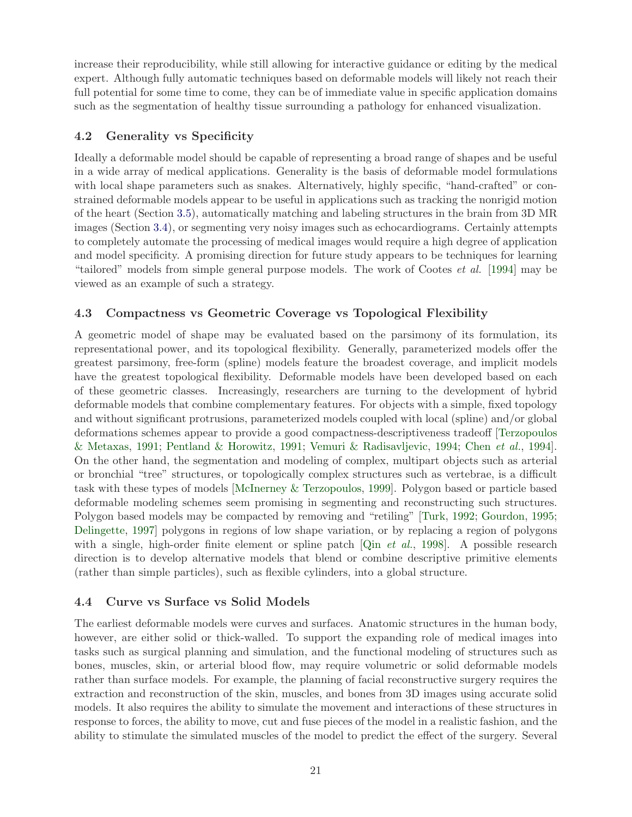<span id="page-20-3"></span>increase their reproducibility, while still allowing for interactive guidance or editing by the medical expert. Although fully automatic techniques based on deformable models will likely not reach their full potential for some time to come, they can be of immediate value in specific application domains such as the segmentation of healthy tissue surrounding a pathology for enhanced visualization.

## <span id="page-20-0"></span>**4.2 Generality vs Specificity**

Ideally a deformable model should be capable of representing a broad range of shapes and be useful in a wide array of medical applications. Generality is the basis of deformable model formulations with local shape parameters such as snakes. Alternatively, highly specific, "hand-crafted" or constrained deformable models appear to be useful in applications such as tracking the nonrigid motion of the heart (Section [3.5\)](#page-15-0), automatically matching and labeling structures in the brain from 3D MR images (Section [3.4\)](#page-13-0), or segmenting very noisy images such as echocardiograms. Certainly attempts to completely automate the processing of medical images would require a high degree of application and model specificity. A promising direction for future study appears to be techniques for learning "tailored" models from simple general purpose models. The work of Cootes *et al.* [\[1994\]](#page-25-8) may be viewed as an example of such a strategy.

## <span id="page-20-1"></span>**4.3 Compactness vs Geometric Coverage vs Topological Flexibility**

A geometric model of shape may be evaluated based on the parsimony of its formulation, its representational power, and its topological flexibility. Generally, parameterized models offer the greatest parsimony, free-form (spline) models feature the broadest coverage, and implicit models have the greatest topological flexibility. Deformable models have been developed based on each of these geometric classes. Increasingly, researchers are turning to the development of hybrid deformable models that combine complementary features. For objects with a simple, fixed topology and without significant protrusions, parameterized models coupled with local (spline) and/or global deformatio[ns schemes appear to provide a good compactness-descriptiveness tradeoff \[](#page-32-9)Terzopoulos & Metaxas, [1991;](#page-32-9) [Pentland & Horowitz,](#page-31-10) [1991](#page-31-10); [Vemuri & Radisavljevic](#page-33-5), [1994;](#page-33-5) Chen *[et al.](#page-24-6)*, [1994\]](#page-24-6). On the other hand, the segmentation and modeling of complex, multipart objects such as arterial or bronchial "tree" structures, or topologically complex structures such as vertebrae, is a difficult task with these types of models [\[McInerney & Terzopoulos](#page-29-9), [1999\]](#page-29-9). Polygon based or particle based deformable modeling schemes seem promising in segmenting and reconstructing such structures. Polygon based models may be compacted by removing and "retiling" [\[Turk,](#page-33-10) [1992](#page-33-10); [Gourdon,](#page-27-14) [1995;](#page-27-14) [Delingette,](#page-25-13) [1997\]](#page-25-13) polygons in regions of low shape variation, or by replacing a region of polygons with a single, high-order finite element or spline patch [Qin *[et al.](#page-31-13)*, [1998](#page-31-13)]. A possible research direction is to develop alternative models that blend or combine descriptive primitive elements (rather than simple particles), such as flexible cylinders, into a global structure.

## <span id="page-20-2"></span>**4.4 Curve vs Surface vs Solid Models**

The earliest deformable models were curves and surfaces. Anatomic structures in the human body, however, are either solid or thick-walled. To support the expanding role of medical images into tasks such as surgical planning and simulation, and the functional modeling of structures such as bones, muscles, skin, or arterial blood flow, may require volumetric or solid deformable models rather than surface models. For example, the planning of facial reconstructive surgery requires the extraction and reconstruction of the skin, muscles, and bones from 3D images using accurate solid models. It also requires the ability to simulate the movement and interactions of these structures in response to forces, the ability to move, cut and fuse pieces of the model in a realistic fashion, and the ability to stimulate the simulated muscles of the model to predict the effect of the surgery. Several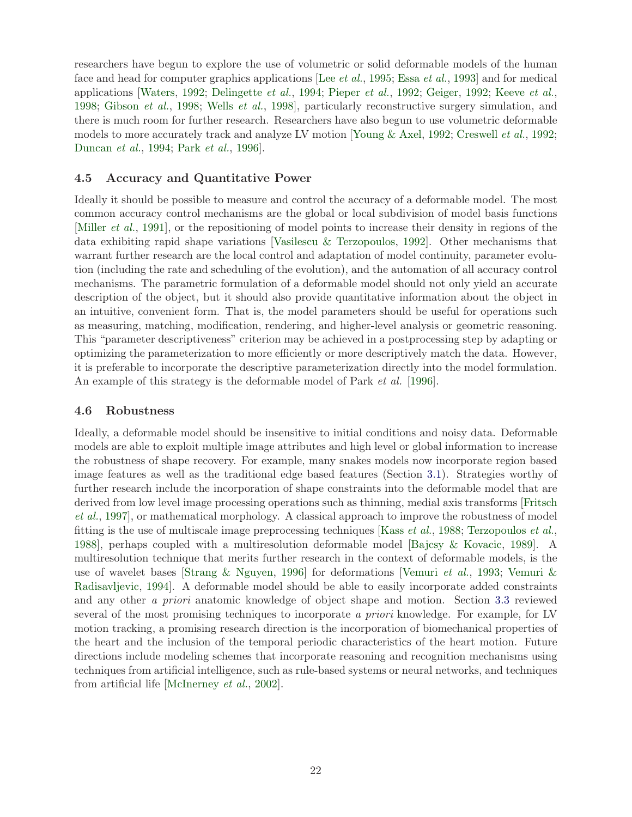<span id="page-21-2"></span>researchers have begun to explore the use of volumetric or solid deformable models of the human face and head for computer graphics applications [Lee *[et al.](#page-28-14)*, [1995](#page-28-14); Essa *[et al.](#page-26-11)*, [1993](#page-26-11)] and for medical applications [\[Waters](#page-33-11), [1992](#page-33-11); [Delingette](#page-25-14) *et al.*, [1994](#page-25-14); [Pieper](#page-31-14) *et al.*, [1992](#page-31-14); [Geiger](#page-26-12), [1992](#page-26-12); [Keeve](#page-28-15) *et al.*, [1998;](#page-28-15) [Gibson](#page-26-13) *et al.*, [1998](#page-26-13); [Wells](#page-33-1) *et al.*, [1998](#page-33-1)], particularly reconstructive surgery simulation, and there is much room for further research. Researchers have also begun to use volumetric deformable models to more accurately track and analyze LV motion [\[Young & Axel,](#page-34-12) [1992;](#page-34-12) [Creswell](#page-25-12) *et al.*, [1992;](#page-25-12) [Duncan](#page-26-10) *et al.*, [1994](#page-26-10); Park *[et al.](#page-30-13)*, [1996\]](#page-30-13).

#### <span id="page-21-0"></span>**4.5 Accuracy and Quantitative Power**

Ideally it should be possible to measure and control the accuracy of a deformable model. The most common accuracy control mechanisms are the global or local subdivision of model basis functions [\[Miller](#page-30-2) *et al.*, [1991\]](#page-30-2), or the repositioning of model points to increase their density in regions of the data exhibiting rapid shape variations [\[Vasilescu & Terzopoulos,](#page-33-12) [1992](#page-33-12)]. Other mechanisms that warrant further research are the local control and adaptation of model continuity, parameter evolution (including the rate and scheduling of the evolution), and the automation of all accuracy control mechanisms. The parametric formulation of a deformable model should not only yield an accurate description of the object, but it should also provide quantitative information about the object in an intuitive, convenient form. That is, the model parameters should be useful for operations such as measuring, matching, modification, rendering, and higher-level analysis or geometric reasoning. This "parameter descriptiveness" criterion may be achieved in a postprocessing step by adapting or optimizing the parameterization to more efficiently or more descriptively match the data. However, it is preferable to incorporate the descriptive parameterization directly into the model formulation. An example of this strategy is the deformable model of Park *et al.* [\[1996](#page-30-13)].

#### <span id="page-21-1"></span>**4.6 Robustness**

Ideally, a deformable model should be insensitive to initial conditions and noisy data. Deformable models are able to exploit multiple image attributes and high level or global information to increase the robustness of shape recovery. For example, many snakes models now incorporate region based image features as well as the traditional edge based features (Section [3.1\)](#page-7-1). Strategies worthy of further research include the incorporation of shape constraints into the deformable model that are deriv[ed](#page-26-14) [from](#page-26-14) [low](#page-26-14) [level](#page-26-14) [image](#page-26-14) [processing](#page-26-14) [operations](#page-26-14) [such](#page-26-14) [as](#page-26-14) [thinning,](#page-26-14) [medial](#page-26-14) [axis](#page-26-14) [transforms](#page-26-14) [\[](#page-26-14)Fritsch *et al.*, [1997](#page-26-14)], or mathematical morphology. A classical approach to improve the robustness of model fitting is the use of multiscale image preprocessing techniques [Kass *[et al.](#page-28-0)*, [1988;](#page-28-0) [Terzopoulos](#page-33-2) *et al.*, [1988\]](#page-33-2), perhaps coupled with a multiresolution deformable model [\[Bajcsy & Kovacic](#page-23-9), [1989](#page-23-9)]. A multiresolution technique that merits further research in the context of deformable models, is the use of wavelet bases [\[Strang & Nguyen,](#page-32-13) [1996\]](#page-32-13) [for deformations](#page-33-5) [\[Vemuri](#page-33-4) *et al.*, [1993](#page-33-4); Vemuri & Radisavljevic, [1994\]](#page-33-5). A deformable model should be able to easily incorporate added constraints and any other *a priori* anatomic knowledge of object shape and motion. Section [3.3](#page-11-0) reviewed several of the most promising techniques to incorporate *a priori* knowledge. For example, for LV motion tracking, a promising research direction is the incorporation of biomechanical properties of the heart and the inclusion of the temporal periodic characteristics of the heart motion. Future directions include modeling schemes that incorporate reasoning and recognition mechanisms using techniques from artificial intelligence, such as rule-based systems or neural networks, and techniques from artificial life [\[McInerney](#page-30-7) *et al.*, [2002\]](#page-30-7).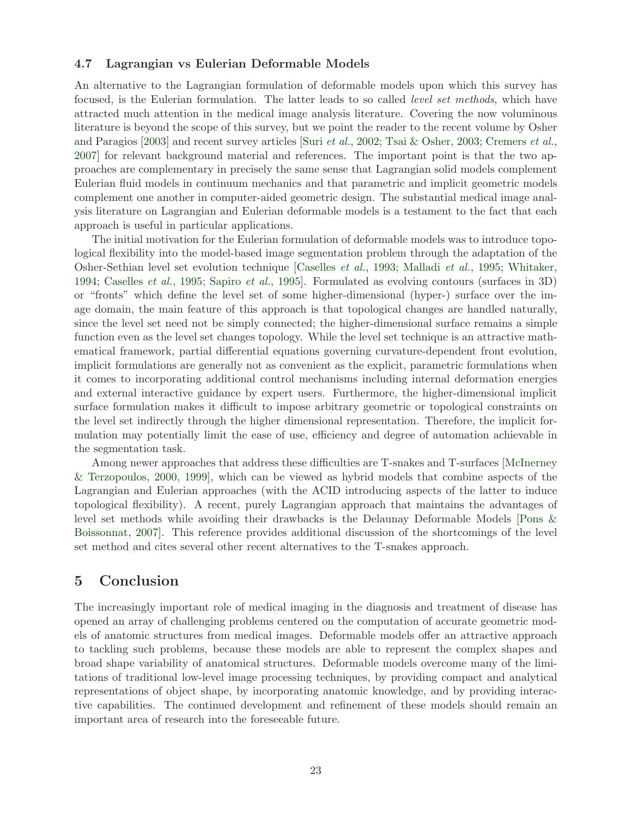#### <span id="page-22-2"></span><span id="page-22-0"></span>**4.7 Lagrangian vs Eulerian Deformable Models**

An alternative to the Lagrangian formulation of deformable models upon which this survey has focused, is the Eulerian formulation. The latter leads to so called *level set methods*, which have attracted much attention in the medical image analysis literature. Covering the now voluminous literature is beyond the scope of this survey, but we point the reader to the recent volume by Osher and Paragios [\[2003](#page-30-15)] and recent survey articles [Suri *[et al.](#page-32-14)*, [2002](#page-32-14); [Tsai & Osher,](#page-33-13) [2003;](#page-33-13) [Cremers](#page-25-15) *et al.*, [2007\]](#page-25-15) for relevant background material and references. The important point is that the two approaches are complementary in precisely the same sense that Lagrangian solid models complement Eulerian fluid models in continuum mechanics and that parametric and implicit geometric models complement one another in computer-aided geometric design. The substantial medical image analysis literature on Lagrangian and Eulerian deformable models is a testament to the fact that each approach is useful in particular applications.

The initial motivation for the Eulerian formulation of deformable models was to introduce topological flexibility into the model-based image segmentation problem through the adaptation of the Osher-Sethian level set evolution technique [\[Caselles](#page-24-14) *et al.*, [1993](#page-24-14); [Malladi](#page-29-6) *et al.*, [1995](#page-29-6); [Whitaker,](#page-34-3) [1994;](#page-34-3) [Caselles](#page-24-4) *et al.*, [1995](#page-24-4); [Sapiro](#page-31-8) *et al.*, [1995](#page-31-8)]. Formulated as evolving contours (surfaces in 3D) or "fronts" which define the level set of some higher-dimensional (hyper-) surface over the image domain, the main feature of this approach is that topological changes are handled naturally, since the level set need not be simply connected; the higher-dimensional surface remains a simple function even as the level set changes topology. While the level set technique is an attractive mathematical framework, partial differential equations governing curvature-dependent front evolution, implicit formulations are generally not as convenient as the explicit, parametric formulations when it comes to incorporating additional control mechanisms including internal deformation energies and external interactive guidance by expert users. Furthermore, the higher-dimensional implicit surface formulation makes it difficult to impose arbitrary geometric or topological constraints on the level set indirectly through the higher dimensional representation. Therefore, the implicit formulation may potentially limit the ease of use, efficiency and degree of automation achievable in the segmentation task.

Among ne[wer approaches that address these difficulties are T-snakes and T-surfaces \[](#page-30-0)McInerney & Terzopoulos, [2000](#page-30-0), [1999\]](#page-29-9), which can be viewed as hybrid models that combine aspects of the Lagrangian and Eulerian approaches (with the ACID introducing aspects of the latter to induce topological flexibility). A recent, purely Lagrangian approach that maintains the advantages of level set [methods while avoiding their drawbacks is the Delaunay Deformable Models \[](#page-31-15)Pons & Boissonnat, [2007](#page-31-15)]. This reference provides additional discussion of the shortcomings of the level set method and cites several other recent alternatives to the T-snakes approach.

## <span id="page-22-1"></span>**5 Conclusion**

The increasingly important role of medical imaging in the diagnosis and treatment of disease has opened an array of challenging problems centered on the computation of accurate geometric models of anatomic structures from medical images. Deformable models offer an attractive approach to tackling such problems, because these models are able to represent the complex shapes and broad shape variability of anatomical structures. Deformable models overcome many of the limitations of traditional low-level image processing techniques, by providing compact and analytical representations of object shape, by incorporating anatomic knowledge, and by providing interactive capabilities. The continued development and refinement of these models should remain an important area of research into the foreseeable future.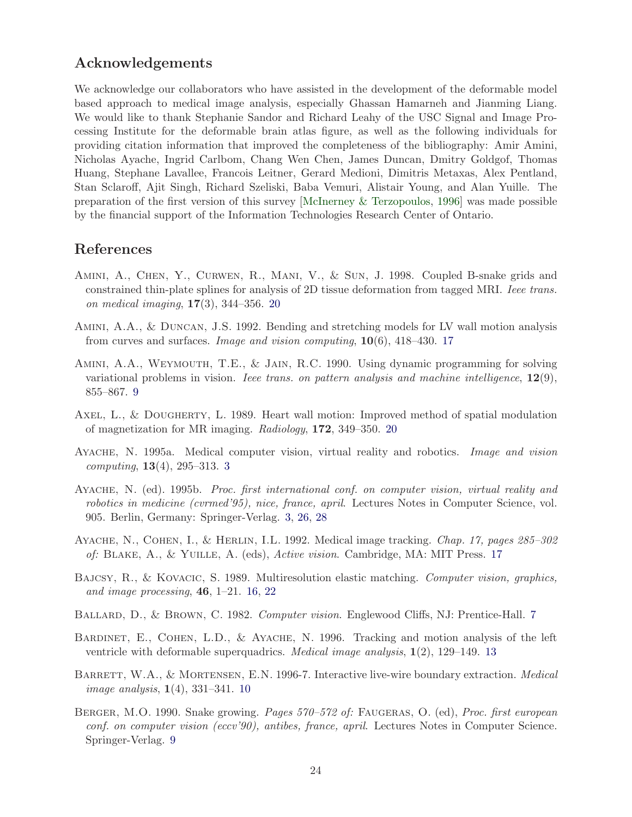## <span id="page-23-14"></span><span id="page-23-0"></span>**Acknowledgements**

We acknowledge our collaborators who have assisted in the development of the deformable model based approach to medical image analysis, especially Ghassan Hamarneh and Jianming Liang. We would like to thank Stephanie Sandor and Richard Leahy of the USC Signal and Image Processing Institute for the deformable brain atlas figure, as well as the following individuals for providing citation information that improved the completeness of the bibliography: Amir Amini, Nicholas Ayache, Ingrid Carlbom, Chang Wen Chen, James Duncan, Dmitry Goldgof, Thomas Huang, Stephane Lavallee, Francois Leitner, Gerard Medioni, Dimitris Metaxas, Alex Pentland, Stan Sclaroff, Ajit Singh, Richard Szeliski, Baba Vemuri, Alistair Young, and Alan Yuille. The preparation of the first version of this survey [\[McInerney & Terzopoulos](#page-29-0), [1996\]](#page-29-0) was made possible by the financial support of the Information Technologies Research Center of Ontario.

## <span id="page-23-1"></span>**References**

- <span id="page-23-13"></span>AMINI, A., CHEN, Y., CURWEN, R., MANI, V., & SUN, J. 1998. Coupled B-snake grids and constrained thin-plate splines for analysis of 2D tissue deformation from tagged MRI. *Ieee trans. on medical imaging*, **17**(3), 344–356. [20](#page-19-2)
- <span id="page-23-11"></span>Amini, A.A., & Duncan, J.S. 1992. Bending and stretching models for LV wall motion analysis from curves and surfaces. *Image and vision computing*, **10**(6), 418–430. [17](#page-16-1)
- <span id="page-23-6"></span>Amini, A.A., Weymouth, T.E., & Jain, R.C. 1990. Using dynamic programming for solving variational problems in vision. *Ieee trans. on pattern analysis and machine intelligence*, **12**(9), 855–867. [9](#page-8-1)
- <span id="page-23-12"></span>AXEL, L., & DOUGHERTY, L. 1989. Heart wall motion: Improved method of spatial modulation of magnetization for MR imaging. *Radiology*, **172**, 349–350. [20](#page-19-2)
- <span id="page-23-2"></span>Ayache, N. 1995a. Medical computer vision, virtual reality and robotics. *Image and vision computing*, **13**(4), 295–313. [3](#page-2-1)
- <span id="page-23-3"></span>Ayache, N. (ed). 1995b. *Proc. first international conf. on computer vision, virtual reality and robotics in medicine (cvrmed'95), nice, france, april*. Lectures Notes in Computer Science, vol. 905. Berlin, Germany: Springer-Verlag. [3,](#page-2-1) [26,](#page-25-16) [28](#page-27-15)
- <span id="page-23-10"></span>Ayache, N., Cohen, I., & Herlin, I.L. 1992. Medical image tracking. *Chap. 17, pages 285–302 of:* Blake, A., & Yuille, A. (eds), *Active vision*. Cambridge, MA: MIT Press. [17](#page-16-1)
- <span id="page-23-9"></span>Bajcsy, R., & Kovacic, S. 1989. Multiresolution elastic matching. *Computer vision, graphics, and image processing*, **46**, 1–21. [16,](#page-15-1) [22](#page-21-2)
- <span id="page-23-4"></span>Ballard, D., & Brown, C. 1982. *Computer vision*. Englewood Cliffs, NJ: Prentice-Hall. [7](#page-6-4)
- <span id="page-23-8"></span>BARDINET, E., COHEN, L.D., & AYACHE, N. 1996. Tracking and motion analysis of the left ventricle with deformable superquadrics. *Medical image analysis*, **1**(2), 129–149. [13](#page-12-0)
- <span id="page-23-7"></span>BARRETT, W.A., & MORTENSEN, E.N. 1996-7. Interactive live-wire boundary extraction. *Medical image analysis*, **1**(4), 331–341. [10](#page-9-2)
- <span id="page-23-5"></span>Berger, M.O. 1990. Snake growing. *Pages 570–572 of:* Faugeras, O. (ed), *Proc. first european conf. on computer vision (eccv'90), antibes, france, april*. Lectures Notes in Computer Science. Springer-Verlag. [9](#page-8-1)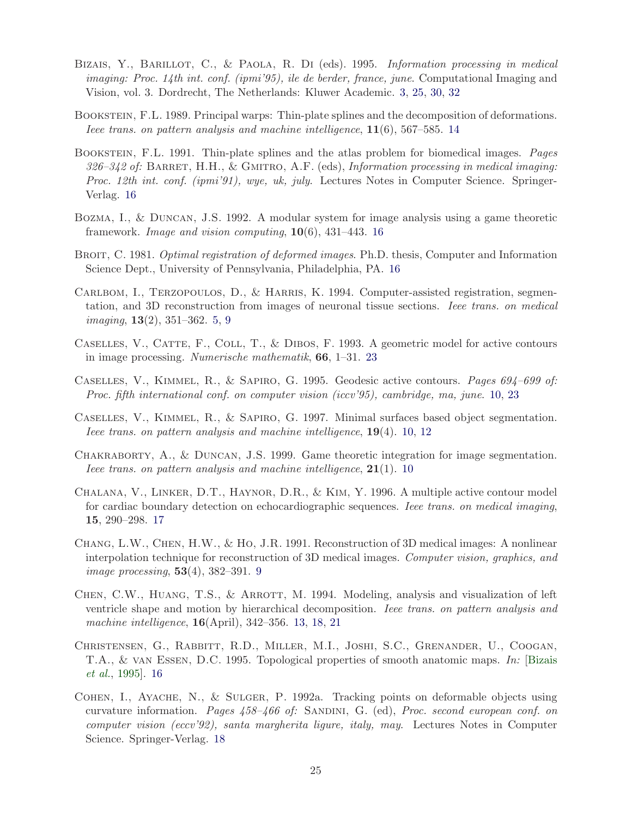- <span id="page-24-15"></span><span id="page-24-0"></span>Bizais, Y., Barillot, C., & Paola, R. Di (eds). 1995. *Information processing in medical imaging: Proc. 14th int. conf. (ipmi'95), ile de berder, france, june*. Computational Imaging and Vision, vol. 3. Dordrecht, The Netherlands: Kluwer Academic. [3,](#page-2-1) [25,](#page-24-15) [30,](#page-29-16) [32](#page-31-16)
- <span id="page-24-7"></span>Bookstein, F.L. 1989. Principal warps: Thin-plate splines and the decomposition of deformations. *Ieee trans. on pattern analysis and machine intelligence*, **11**(6), 567–585. [14](#page-13-1)
- <span id="page-24-10"></span>Bookstein, F.L. 1991. Thin-plate splines and the atlas problem for biomedical images. *Pages 326–342 of:* Barret, H.H., & Gmitro, A.F. (eds), *Information processing in medical imaging: Proc. 12th int. conf. (ipmi'91), wye, uk, july*. Lectures Notes in Computer Science. Springer-Verlag. [16](#page-15-1)
- <span id="page-24-11"></span>Bozma, I., & Duncan, J.S. 1992. A modular system for image analysis using a game theoretic framework. *Image and vision computing*, **10**(6), 431–443. [16](#page-15-1)
- <span id="page-24-8"></span>Broit, C. 1981. *Optimal registration of deformed images*. Ph.D. thesis, Computer and Information Science Dept., University of Pennsylvania, Philadelphia, PA. [16](#page-15-1)
- <span id="page-24-1"></span>CARLBOM, I., TERZOPOULOS, D., & HARRIS, K. 1994. Computer-assisted registration, segmentation, and 3D reconstruction from images of neuronal tissue sections. *Ieee trans. on medical imaging*, **13**(2), 351–362. [5,](#page-4-5) [9](#page-8-1)
- <span id="page-24-14"></span>CASELLES, V., CATTE, F., COLL, T., & DIBOS, F. 1993. A geometric model for active contours in image processing. *Numerische mathematik*, **66**, 1–31. [23](#page-22-2)
- <span id="page-24-4"></span>Caselles, V., Kimmel, R., & Sapiro, G. 1995. Geodesic active contours. *Pages 694–699 of: Proc. fifth international conf. on computer vision (iccv'95), cambridge, ma, june*. [10,](#page-9-2) [23](#page-22-2)
- <span id="page-24-5"></span>Caselles, V., Kimmel, R., & Sapiro, G. 1997. Minimal surfaces based object segmentation. *Ieee trans. on pattern analysis and machine intelligence*, **19**(4). [10,](#page-9-2) [12](#page-11-1)
- <span id="page-24-3"></span>Chakraborty, A., & Duncan, J.S. 1999. Game theoretic integration for image segmentation. *Ieee trans. on pattern analysis and machine intelligence*, **21**(1). [10](#page-9-2)
- <span id="page-24-12"></span>Chalana, V., Linker, D.T., Haynor, D.R., & Kim, Y. 1996. A multiple active contour model for cardiac boundary detection on echocardiographic sequences. *Ieee trans. on medical imaging*, **15**, 290–298. [17](#page-16-1)
- <span id="page-24-2"></span>Chang, L.W., Chen, H.W., & Ho, J.R. 1991. Reconstruction of 3D medical images: A nonlinear interpolation technique for reconstruction of 3D medical images. *Computer vision, graphics, and image processing*, **53**(4), 382–391. [9](#page-8-1)
- <span id="page-24-6"></span>CHEN, C.W., HUANG, T.S., & ARROTT, M. 1994. Modeling, analysis and visualization of left ventricle shape and motion by hierarchical decomposition. *Ieee trans. on pattern analysis and machine intelligence*, **16**(April), 342–356. [13,](#page-12-0) [18,](#page-17-1) [21](#page-20-3)
- <span id="page-24-9"></span>Christensen, G., Rabbitt, R.D., Miller, M.I., Joshi, S.C., Grenander, U., Coogan, T.A., & van Essen, D.C. [1995. Topological properties of smooth anatomic maps.](#page-24-0) *In:* [Bizais *et al.*, [1995\]](#page-24-0). [16](#page-15-1)
- <span id="page-24-13"></span>Cohen, I., Ayache, N., & Sulger, P. 1992a. Tracking points on deformable objects using curvature information. *Pages 458–466 of:* SANDINI, G. (ed), *Proc. second european conf. on computer vision (eccv'92), santa margherita ligure, italy, may*. Lectures Notes in Computer Science. Springer-Verlag. [18](#page-17-1)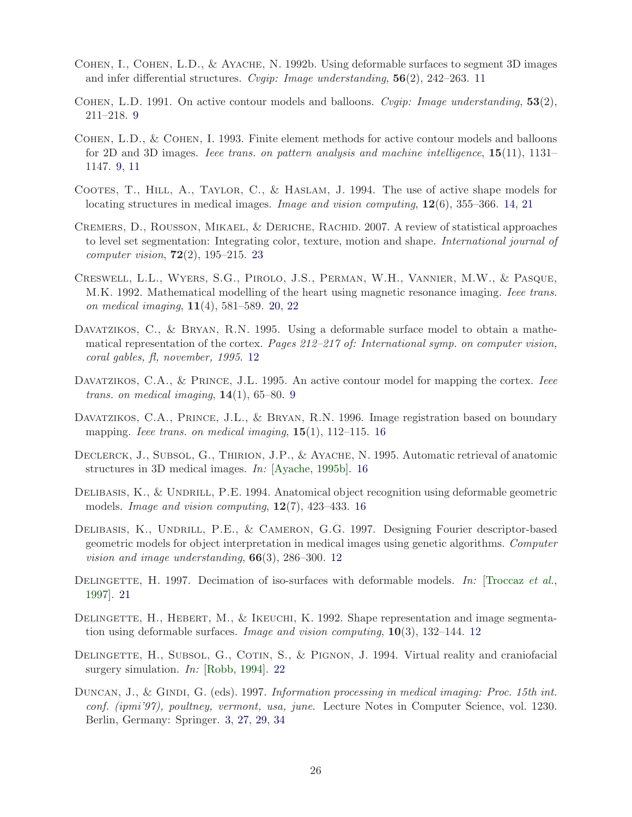- <span id="page-25-16"></span><span id="page-25-4"></span>COHEN, I., COHEN, L.D., & AYACHE, N. 1992b. Using deformable surfaces to segment 3D images and infer differential structures. *Cvgip: Image understanding*, **56**(2), 242–263. [11](#page-10-2)
- <span id="page-25-1"></span>Cohen, L.D. 1991. On active contour models and balloons. *Cvgip: Image understanding*, **53**(2), 211–218. [9](#page-8-1)
- <span id="page-25-2"></span>Cohen, L.D., & Cohen, I. 1993. Finite element methods for active contour models and balloons for 2D and 3D images. *Ieee trans. on pattern analysis and machine intelligence*, **15**(11), 1131– 1147. [9,](#page-8-1) [11](#page-10-2)
- <span id="page-25-8"></span>COOTES, T., HILL, A., TAYLOR, C., & HASLAM, J. 1994. The use of active shape models for locating structures in medical images. *Image and vision computing*, **12**(6), 355–366. [14,](#page-13-1) [21](#page-20-3)
- <span id="page-25-15"></span>Cremers, D., Rousson, Mikael, & Deriche, Rachid. 2007. A review of statistical approaches to level set segmentation: Integrating color, texture, motion and shape. *International journal of computer vision*, **72**(2), 195–215. [23](#page-22-2)
- <span id="page-25-12"></span>Creswell, L.L., Wyers, S.G., Pirolo, J.S., Perman, W.H., Vannier, M.W., & Pasque, M.K. 1992. Mathematical modelling of the heart using magnetic resonance imaging. *Ieee trans. on medical imaging*, **11**(4), 581–589. [20,](#page-19-2) [22](#page-21-2)
- <span id="page-25-6"></span>DAVATZIKOS, C., & BRYAN, R.N. 1995. Using a deformable surface model to obtain a mathematical representation of the cortex. *Pages 212–217 of: International symp. on computer vision, coral gables, fl, november, 1995*. [12](#page-11-1)
- <span id="page-25-3"></span>Davatzikos, C.A., & Prince, J.L. 1995. An active contour model for mapping the cortex. *Ieee trans. on medical imaging*, **14**(1), 65–80. [9](#page-8-1)
- <span id="page-25-11"></span>DAVATZIKOS, C.A., PRINCE, J.L., & BRYAN, R.N. 1996. Image registration based on boundary mapping. *Ieee trans. on medical imaging*, **15**(1), 112–115. [16](#page-15-1)
- <span id="page-25-9"></span>DECLERCK, J., SUBSOL, G., THIRION, J.P., & AYACHE, N. 1995. Automatic retrieval of anatomic structures in 3D medical images. *In:* [\[Ayache](#page-23-3), [1995b\]](#page-23-3). [16](#page-15-1)
- <span id="page-25-10"></span>DELIBASIS, K., & UNDRILL, P.E. 1994. Anatomical object recognition using deformable geometric models. *Image and vision computing*, **12**(7), 423–433. [16](#page-15-1)
- <span id="page-25-7"></span>DELIBASIS, K., UNDRILL, P.E., & CAMERON, G.G. 1997. Designing Fourier descriptor-based geometric models for object interpretation in medical images using genetic algorithms. *Computer vision and image understanding*, **66**(3), 286–300. [12](#page-11-1)
- <span id="page-25-13"></span>DELINGETTE, H. 1997. Decimation of iso-surfaces with deformable models. *In:* [\[Troccaz](#page-33-0) *et al.*, [1997\]](#page-33-0). [21](#page-20-3)
- <span id="page-25-5"></span>DELINGETTE, H., HEBERT, M., & IKEUCHI, K. 1992. Shape representation and image segmentation using deformable surfaces. *Image and vision computing*, **10**(3), 132–144. [12](#page-11-1)
- <span id="page-25-14"></span>DELINGETTE, H., SUBSOL, G., COTIN, S., & PIGNON, J. 1994. Virtual reality and craniofacial surgery simulation. *In:* [\[Robb,](#page-31-0) [1994](#page-31-0)]. [22](#page-21-2)
- <span id="page-25-0"></span>DUNCAN, J., & GINDI, G. (eds). 1997. *Information processing in medical imaging: Proc. 15th int. conf. (ipmi'97), poultney, vermont, usa, june*. Lecture Notes in Computer Science, vol. 1230. Berlin, Germany: Springer. [3,](#page-2-1) [27,](#page-26-15) [29,](#page-28-16) [34](#page-33-14)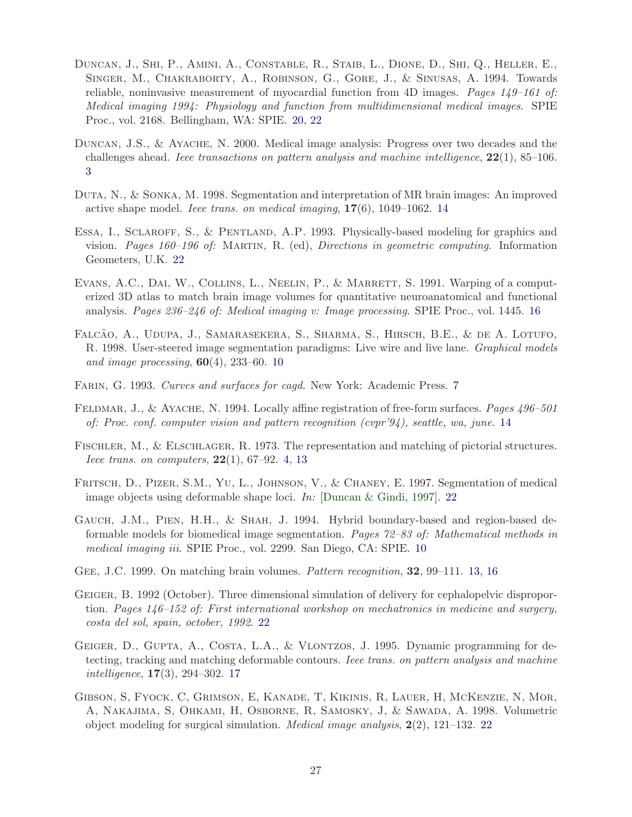- <span id="page-26-15"></span><span id="page-26-10"></span>Duncan, J., Shi, P., Amini, A., Constable, R., Staib, L., Dione, D., Shi, Q., Heller, E., Singer, M., Chakraborty, A., Robinson, G., Gore, J., & Sinusas, A. 1994. Towards reliable, noninvasive measurement of myocardial function from 4D images. *Pages 149–161 of: Medical imaging 1994: Physiology and function from multidimensional medical images*. SPIE Proc., vol. 2168. Bellingham, WA: SPIE. [20,](#page-19-2) [22](#page-21-2)
- <span id="page-26-0"></span>DUNCAN, J.S., & AYACHE, N. 2000. Medical image analysis: Progress over two decades and the challenges ahead. *Ieee transactions on pattern analysis and machine intelligence*, **22**(1), 85–106. [3](#page-2-1)
- <span id="page-26-6"></span>Duta, N., & Sonka, M. 1998. Segmentation and interpretation of MR brain images: An improved active shape model. *Ieee trans. on medical imaging*, **17**(6), 1049–1062. [14](#page-13-1)
- <span id="page-26-11"></span>ESSA, I., SCLAROFF, S., & PENTLAND, A.P. 1993. Physically-based modeling for graphics and vision. *Pages 160–196 of:* Martin, R. (ed), *Directions in geometric computing*. Information Geometers, U.K. [22](#page-21-2)
- <span id="page-26-8"></span>EVANS, A.C., DAI, W., COLLINS, L., NEELIN, P., & MARRETT, S. 1991. Warping of a computerized 3D atlas to match brain image volumes for quantitative neuroanatomical and functional analysis. *Pages 236–246 of: Medical imaging v: Image processing*. SPIE Proc., vol. 1445. [16](#page-15-1)
- <span id="page-26-4"></span>FALCÃO, A., UDUPA, J., SAMARASEKERA, S., SHARMA, S., HIRSCH, B.E., & DE A. LOTUFO, R. 1998. User-steered image segmentation paradigms: Live wire and live lane. *Graphical models and image processing*, **60**(4), 233–60. [10](#page-9-2)
- <span id="page-26-2"></span>Farin, G. 1993. *Curves and surfaces for cagd*. New York: Academic Press. [7](#page-6-4)
- <span id="page-26-7"></span>FELDMAR, J., & AYACHE, N. 1994. Locally affine registration of free-form surfaces. *Pages 496–501 of: Proc. conf. computer vision and pattern recognition (cvpr'94), seattle, wa, june*. [14](#page-13-1)
- <span id="page-26-1"></span>FISCHLER, M., & ELSCHLAGER, R. 1973. The representation and matching of pictorial structures. *Ieee trans. on computers*, **22**(1), 67–92. [4,](#page-3-3) [13](#page-12-0)
- <span id="page-26-14"></span>FRITSCH, D., PIZER, S.M., YU, L., JOHNSON, V., & CHANEY, E. 1997. Segmentation of medical image objects using deformable shape loci. *In:* [\[Duncan & Gindi](#page-25-0), [1997\]](#page-25-0). [22](#page-21-2)
- <span id="page-26-3"></span>Gauch, J.M., Pien, H.H., & Shah, J. 1994. Hybrid boundary-based and region-based deformable models for biomedical image segmentation. *Pages 72–83 of: Mathematical methods in medical imaging iii*. SPIE Proc., vol. 2299. San Diego, CA: SPIE. [10](#page-9-2)
- <span id="page-26-5"></span>Gee, J.C. 1999. On matching brain volumes. *Pattern recognition*, **32**, 99–111. [13,](#page-12-0) [16](#page-15-1)
- <span id="page-26-12"></span>Geiger, B. 1992 (October). Three dimensional simulation of delivery for cephalopelvic disproportion. *Pages 146–152 of: First international workshop on mechatronics in medicine and surgery, costa del sol, spain, october, 1992*. [22](#page-21-2)
- <span id="page-26-9"></span>GEIGER, D., GUPTA, A., COSTA, L.A., & VLONTZOS, J. 1995. Dynamic programming for detecting, tracking and matching deformable contours. *Ieee trans. on pattern analysis and machine intelligence*, **17**(3), 294–302. [17](#page-16-1)
- <span id="page-26-13"></span>Gibson, S, Fyock, C, Grimson, E, Kanade, T, Kikinis, R, Lauer, H, McKenzie, N, Mor, A, Nakajima, S, Ohkami, H, Osborne, R, Samosky, J, & Sawada, A. 1998. Volumetric object modeling for surgical simulation. *Medical image analysis*, **2**(2), 121–132. [22](#page-21-2)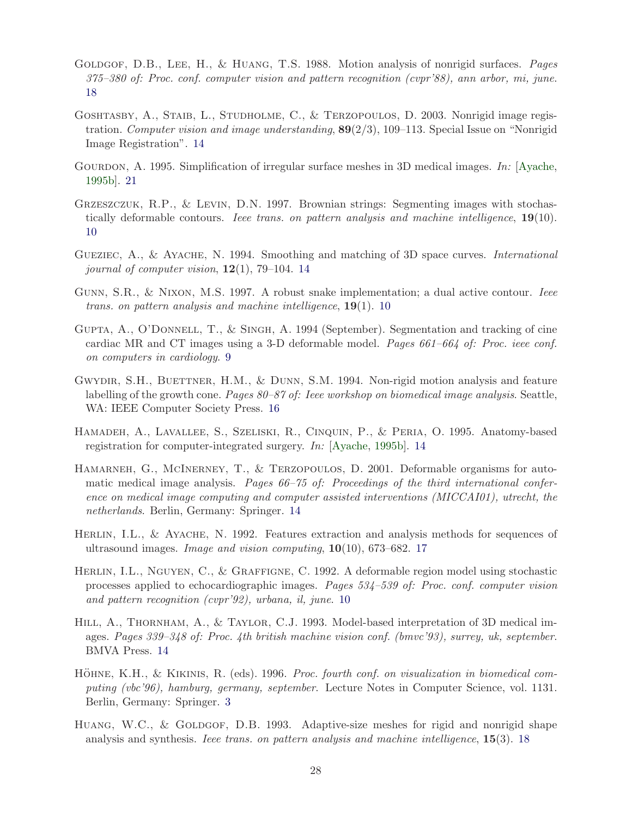- <span id="page-27-15"></span><span id="page-27-12"></span>Goldgof, D.B., Lee, H., & Huang, T.S. 1988. Motion analysis of nonrigid surfaces. *Pages 375–380 of: Proc. conf. computer vision and pattern recognition (cvpr'88), ann arbor, mi, june*. [18](#page-17-1)
- <span id="page-27-7"></span>GOSHTASBY, A., STAIB, L., STUDHOLME, C., & TERZOPOULOS, D. 2003. Nonrigid image registration. *Computer vision and image understanding*, **89**(2/3), 109–113. Special Issue on "Nonrigid Image Registration". [14](#page-13-1)
- <span id="page-27-14"></span>Gourdon, A. 1995. Simplification of irregular surface meshes in 3D medical images. *In:* [\[Ayache,](#page-23-3) [1995b\]](#page-23-3). [21](#page-20-3)
- <span id="page-27-2"></span>Grzeszczuk, R.P., & Levin, D.N. 1997. Brownian strings: Segmenting images with stochastically deformable contours. *Ieee trans. on pattern analysis and machine intelligence*, **19**(10). [10](#page-9-2)
- <span id="page-27-8"></span>Gueziec, A., & Ayache, N. 1994. Smoothing and matching of 3D space curves. *International journal of computer vision*, **12**(1), 79–104. [14](#page-13-1)
- <span id="page-27-4"></span>Gunn, S.R., & Nixon, M.S. 1997. A robust snake implementation; a dual active contour. *Ieee trans. on pattern analysis and machine intelligence*, **19**(1). [10](#page-9-2)
- <span id="page-27-1"></span>Gupta, A., O'Donnell, T., & Singh, A. 1994 (September). Segmentation and tracking of cine cardiac MR and CT images using a 3-D deformable model. *Pages 661–664 of: Proc. ieee conf. on computers in cardiology*. [9](#page-8-1)
- <span id="page-27-10"></span>GWYDIR, S.H., BUETTNER, H.M., & DUNN, S.M. 1994. Non-rigid motion analysis and feature labelling of the growth cone. *Pages 80–87 of: Ieee workshop on biomedical image analysis*. Seattle, WA: IEEE Computer Society Press. [16](#page-15-1)
- <span id="page-27-9"></span>Hamadeh, A., Lavallee, S., Szeliski, R., Cinquin, P., & Peria, O. 1995. Anatomy-based registration for computer-integrated surgery. *In:* [\[Ayache](#page-23-3), [1995b\]](#page-23-3). [14](#page-13-1)
- <span id="page-27-6"></span>HAMARNEH, G., MCINERNEY, T., & TERZOPOULOS, D. 2001. Deformable organisms for automatic medical image analysis. *Pages 66–75 of: Proceedings of the third international conference on medical image computing and computer assisted interventions (MICCAI01), utrecht, the netherlands*. Berlin, Germany: Springer. [14](#page-13-1)
- <span id="page-27-11"></span>HERLIN, I.L., & AYACHE, N. 1992. Features extraction and analysis methods for sequences of ultrasound images. *Image and vision computing*, **10**(10), 673–682. [17](#page-16-1)
- <span id="page-27-3"></span>HERLIN, I.L., NGUYEN, C., & GRAFFIGNE, C. 1992. A deformable region model using stochastic processes applied to echocardiographic images. *Pages 534–539 of: Proc. conf. computer vision and pattern recognition (cvpr'92), urbana, il, june*. [10](#page-9-2)
- <span id="page-27-5"></span>HILL, A., THORNHAM, A., & TAYLOR, C.J. 1993. Model-based interpretation of 3D medical images. *Pages 339–348 of: Proc. 4th british machine vision conf. (bmvc'93), surrey, uk, september*. BMVA Press. [14](#page-13-1)
- <span id="page-27-0"></span>HÖHNE, K.H., & KIKINIS, R. (eds). 1996. *Proc. fourth conf. on visualization in biomedical computing (vbc'96), hamburg, germany, september*. Lecture Notes in Computer Science, vol. 1131. Berlin, Germany: Springer. [3](#page-2-1)
- <span id="page-27-13"></span>HUANG, W.C., & GOLDGOF, D.B. 1993. Adaptive-size meshes for rigid and nonrigid shape analysis and synthesis. *Ieee trans. on pattern analysis and machine intelligence*, **15**(3). [18](#page-17-1)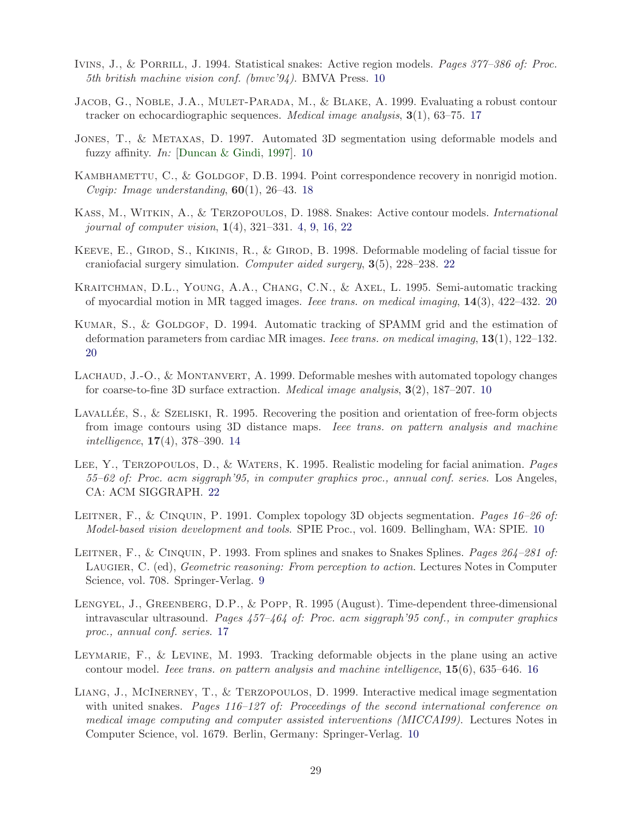- <span id="page-28-16"></span><span id="page-28-2"></span>Ivins, J., & Porrill, J. 1994. Statistical snakes: Active region models. *Pages 377–386 of: Proc. 5th british machine vision conf. (bmvc'94)*. BMVA Press. [10](#page-9-2)
- <span id="page-28-10"></span>JACOB, G., NOBLE, J.A., MULET-PARADA, M., & BLAKE, A. 1999. Evaluating a robust contour tracker on echocardiographic sequences. *Medical image analysis*, **3**(1), 63–75. [17](#page-16-1)
- <span id="page-28-3"></span>Jones, T., & Metaxas, D. 1997. Automated 3D segmentation using deformable models and fuzzy affinity. *In:* [\[Duncan & Gindi,](#page-25-0) [1997](#page-25-0)]. [10](#page-9-2)
- <span id="page-28-11"></span>KAMBHAMETTU, C., & GOLDGOF, D.B. 1994. Point correspondence recovery in nonrigid motion. *Cvgip: Image understanding*, **60**(1), 26–43. [18](#page-17-1)
- <span id="page-28-0"></span>Kass, M., Witkin, A., & Terzopoulos, D. 1988. Snakes: Active contour models. *International journal of computer vision*, **1**(4), 321–331. [4,](#page-3-3) [9,](#page-8-1) [16,](#page-15-1) [22](#page-21-2)
- <span id="page-28-15"></span>Keeve, E., Girod, S., Kikinis, R., & Girod, B. 1998. Deformable modeling of facial tissue for craniofacial surgery simulation. *Computer aided surgery*, **3**(5), 228–238. [22](#page-21-2)
- <span id="page-28-13"></span>Kraitchman, D.L., Young, A.A., Chang, C.N., & Axel, L. 1995. Semi-automatic tracking of myocardial motion in MR tagged images. *Ieee trans. on medical imaging*, **14**(3), 422–432. [20](#page-19-2)
- <span id="page-28-12"></span>KUMAR, S., & GOLDGOF, D. 1994. Automatic tracking of SPAMM grid and the estimation of deformation parameters from cardiac MR images. *Ieee trans. on medical imaging*, **13**(1), 122–132. [20](#page-19-2)
- <span id="page-28-5"></span>LACHAUD, J.-O., & MONTANVERT, A. 1999. Deformable meshes with automated topology changes for coarse-to-fine 3D surface extraction. *Medical image analysis*, **3**(2), 187–207. [10](#page-9-2)
- <span id="page-28-7"></span>LAVALLÉE, S., & SZELISKI, R. 1995. Recovering the position and orientation of free-form objects from image contours using 3D distance maps. *Ieee trans. on pattern analysis and machine intelligence*, **17**(4), 378–390. [14](#page-13-1)
- <span id="page-28-14"></span>Lee, Y., Terzopoulos, D., & Waters, K. 1995. Realistic modeling for facial animation. *Pages 55–62 of: Proc. acm siggraph'95, in computer graphics proc., annual conf. series*. Los Angeles, CA: ACM SIGGRAPH. [22](#page-21-2)
- <span id="page-28-4"></span>Leitner, F., & Cinquin, P. 1991. Complex topology 3D objects segmentation. *Pages 16–26 of: Model-based vision development and tools*. SPIE Proc., vol. 1609. Bellingham, WA: SPIE. [10](#page-9-2)
- <span id="page-28-1"></span>Leitner, F., & Cinquin, P. 1993. From splines and snakes to Snakes Splines. *Pages 264–281 of:* Laugier, C. (ed), *Geometric reasoning: From perception to action*. Lectures Notes in Computer Science, vol. 708. Springer-Verlag. [9](#page-8-1)
- <span id="page-28-9"></span>LENGYEL, J., GREENBERG, D.P., & POPP, R. 1995 (August). Time-dependent three-dimensional intravascular ultrasound. *Pages 457–464 of: Proc. acm siggraph'95 conf., in computer graphics proc., annual conf. series*. [17](#page-16-1)
- <span id="page-28-8"></span>LEYMARIE, F.,  $\&$  LEVINE, M. 1993. Tracking deformable objects in the plane using an active contour model. *Ieee trans. on pattern analysis and machine intelligence*, **15**(6), 635–646. [16](#page-15-1)
- <span id="page-28-6"></span>Liang, J., McInerney, T., & Terzopoulos, D. 1999. Interactive medical image segmentation with united snakes. *Pages 116–127 of: Proceedings of the second international conference on medical image computing and computer assisted interventions (MICCAI99)*. Lectures Notes in Computer Science, vol. 1679. Berlin, Germany: Springer-Verlag. [10](#page-9-2)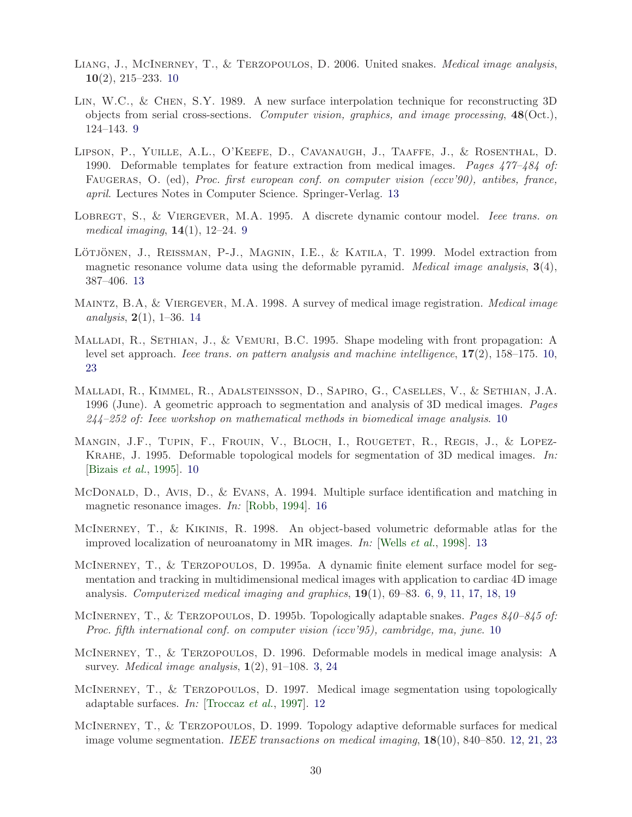- <span id="page-29-16"></span><span id="page-29-8"></span>Liang, J., McInerney, T., & Terzopoulos, D. 2006. United snakes. *Medical image analysis*, **10**(2), 215–233. [10](#page-9-2)
- <span id="page-29-3"></span>Lin, W.C., & Chen, S.Y. 1989. A new surface interpolation technique for reconstructing 3D objects from serial cross-sections. *Computer vision, graphics, and image processing*, **48**(Oct.), 124–143. [9](#page-8-1)
- <span id="page-29-11"></span>Lipson, P., Yuille, A.L., O'Keefe, D., Cavanaugh, J., Taaffe, J., & Rosenthal, D. 1990. Deformable templates for feature extraction from medical images. *Pages 477–484 of:* Faugeras, O. (ed), *Proc. first european conf. on computer vision (eccv'90), antibes, france, april*. Lectures Notes in Computer Science. Springer-Verlag. [13](#page-12-0)
- <span id="page-29-2"></span>Lobregt, S., & Viergever, M.A. 1995. A discrete dynamic contour model. *Ieee trans. on medical imaging*, **14**(1), 12–24. [9](#page-8-1)
- <span id="page-29-13"></span>LÖTJÖNEN, J., REISSMAN, P-J., MAGNIN, I.E., & KATILA, T. 1999. Model extraction from magnetic resonance volume data using the deformable pyramid. *Medical image analysis*, **3**(4), 387–406. [13](#page-12-0)
- <span id="page-29-14"></span>Maintz, B.A, & Viergever, M.A. 1998. A survey of medical image registration. *Medical image analysis*, **2**(1), 1–36. [14](#page-13-1)
- <span id="page-29-6"></span>MALLADI, R., SETHIAN, J., & VEMURI, B.C. 1995. Shape modeling with front propagation: A level set approach. *Ieee trans. on pattern analysis and machine intelligence*, **17**(2), 158–175. [10,](#page-9-2) [23](#page-22-2)
- <span id="page-29-7"></span>Malladi, R., Kimmel, R., Adalsteinsson, D., Sapiro, G., Caselles, V., & Sethian, J.A. 1996 (June). A geometric approach to segmentation and analysis of 3D medical images. *Pages 244–252 of: Ieee workshop on mathematical methods in biomedical image analysis*. [10](#page-9-2)
- <span id="page-29-5"></span>MANGIN, J.F., TUPIN, F., FROUIN, V., BLOCH, I., ROUGETET, R., REGIS, J., & LOPEZ-Krahe, J. 1995. Deformable topological models for segmentation of 3D medical images. *In:* [\[Bizais](#page-24-0) *et al.*, [1995\]](#page-24-0). [10](#page-9-2)
- <span id="page-29-15"></span>McDonald, D., Avis, D., & Evans, A. 1994. Multiple surface identification and matching in magnetic resonance images. *In:* [\[Robb,](#page-31-0) [1994](#page-31-0)]. [16](#page-15-1)
- <span id="page-29-12"></span>McInerney, T., & Kikinis, R. 1998. An object-based volumetric deformable atlas for the improved localization of neuroanatomy in MR images. *In:* [\[Wells](#page-33-1) *et al.*, [1998](#page-33-1)]. [13](#page-12-0)
- <span id="page-29-1"></span>MCINERNEY, T., & TERZOPOULOS, D. 1995a. A dynamic finite element surface model for segmentation and tracking in multidimensional medical images with application to cardiac 4D image analysis. *Computerized medical imaging and graphics*, **19**(1), 69–83. [6,](#page-5-4) [9,](#page-8-1) [11,](#page-10-2) [17,](#page-16-1) [18,](#page-17-1) [19](#page-18-1)
- <span id="page-29-4"></span>McInerney, T., & Terzopoulos, D. 1995b. Topologically adaptable snakes. *Pages 840–845 of: Proc. fifth international conf. on computer vision (iccv'95), cambridge, ma, june*. [10](#page-9-2)
- <span id="page-29-0"></span>McInerney, T., & Terzopoulos, D. 1996. Deformable models in medical image analysis: A survey. *Medical image analysis*, **1**(2), 91–108. [3,](#page-2-1) [24](#page-23-14)
- <span id="page-29-10"></span>MCINERNEY, T., & TERZOPOULOS, D. 1997. Medical image segmentation using topologically adaptable surfaces. *In:* [\[Troccaz](#page-33-0) *et al.*, [1997](#page-33-0)]. [12](#page-11-1)
- <span id="page-29-9"></span>McINERNEY, T., & TERZOPOULOS, D. 1999. Topology adaptive deformable surfaces for medical image volume segmentation. *IEEE transactions on medical imaging*, **18**(10), 840–850. [12,](#page-11-1) [21,](#page-20-3) [23](#page-22-2)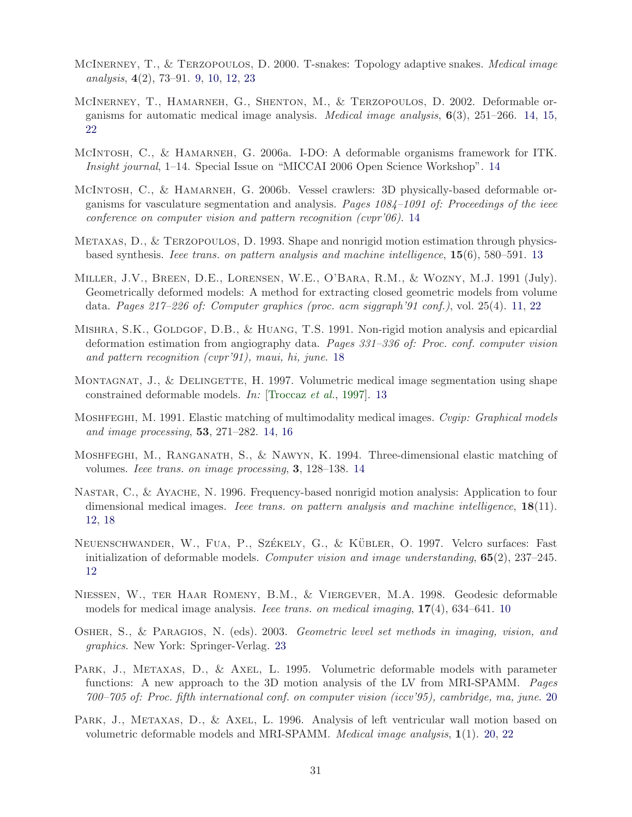- <span id="page-30-16"></span><span id="page-30-0"></span>McInerney, T., & Terzopoulos, D. 2000. T-snakes: Topology adaptive snakes. *Medical image analysis*, **4**(2), 73–91. [9,](#page-8-1) [10,](#page-9-2) [12,](#page-11-1) [23](#page-22-2)
- <span id="page-30-7"></span>McInerney, T., Hamarneh, G., Shenton, M., & Terzopoulos, D. 2002. Deformable organisms for automatic medical image analysis. *Medical image analysis*, **6**(3), 251–266. [14,](#page-13-1) [15,](#page-14-1) [22](#page-21-2)
- <span id="page-30-9"></span>McIntosh, C., & Hamarneh, G. 2006a. I-DO: A deformable organisms framework for ITK. *Insight journal*, 1–14. Special Issue on "MICCAI 2006 Open Science Workshop". [14](#page-13-1)
- <span id="page-30-8"></span>McIntosh, C., & Hamarneh, G. 2006b. Vessel crawlers: 3D physically-based deformable organisms for vasculature segmentation and analysis. *Pages 1084–1091 of: Proceedings of the ieee conference on computer vision and pattern recognition (cvpr'06)*. [14](#page-13-1)
- <span id="page-30-6"></span>Metaxas, D., & Terzopoulos, D. 1993. Shape and nonrigid motion estimation through physicsbased synthesis. *Ieee trans. on pattern analysis and machine intelligence*, **15**(6), 580–591. [13](#page-12-0)
- <span id="page-30-2"></span>Miller, J.V., Breen, D.E., Lorensen, W.E., O'Bara, R.M., & Wozny, M.J. 1991 (July). Geometrically deformed models: A method for extracting closed geometric models from volume data. *Pages 217–226 of: Computer graphics (proc. acm siggraph'91 conf.)*, vol. 25(4). [11,](#page-10-2) [22](#page-21-2)
- <span id="page-30-12"></span>MISHRA, S.K., GOLDGOF, D.B., & HUANG, T.S. 1991. Non-rigid motion analysis and epicardial deformation estimation from angiography data. *Pages 331–336 of: Proc. conf. computer vision and pattern recognition (cvpr'91), maui, hi, june*. [18](#page-17-1)
- <span id="page-30-5"></span>MONTAGNAT, J.,  $\&$  DELINGETTE, H. 1997. Volumetric medical image segmentation using shape constrained deformable models. *In:* [\[Troccaz](#page-33-0) *et al.*, [1997](#page-33-0)]. [13](#page-12-0)
- <span id="page-30-10"></span>Moshfeghi, M. 1991. Elastic matching of multimodality medical images. *Cvgip: Graphical models and image processing*, **53**, 271–282. [14,](#page-13-1) [16](#page-15-1)
- <span id="page-30-11"></span>Moshfeghi, M., Ranganath, S., & Nawyn, K. 1994. Three-dimensional elastic matching of volumes. *Ieee trans. on image processing*, **3**, 128–138. [14](#page-13-1)
- <span id="page-30-3"></span>NASTAR, C., & AYACHE, N. 1996. Frequency-based nonrigid motion analysis: Application to four dimensional medical images. *Ieee trans. on pattern analysis and machine intelligence*, **18**(11). [12,](#page-11-1) [18](#page-17-1)
- <span id="page-30-4"></span>NEUENSCHWANDER, W., FUA, P., SZÉKELY, G., & KÜBLER, O. 1997. Velcro surfaces: Fast initialization of deformable models. *Computer vision and image understanding*, **65**(2), 237–245. [12](#page-11-1)
- <span id="page-30-1"></span>Niessen, W., ter Haar Romeny, B.M., & Viergever, M.A. 1998. Geodesic deformable models for medical image analysis. *Ieee trans. on medical imaging*, **17**(4), 634–641. [10](#page-9-2)
- <span id="page-30-15"></span>Osher, S., & Paragios, N. (eds). 2003. *Geometric level set methods in imaging, vision, and graphics*. New York: Springer-Verlag. [23](#page-22-2)
- <span id="page-30-14"></span>Park, J., Metaxas, D., & Axel, L. 1995. Volumetric deformable models with parameter functions: A new approach to the 3D motion analysis of the LV from MRI-SPAMM. *Pages 700–705 of: Proc. fifth international conf. on computer vision (iccv'95), cambridge, ma, june*. [20](#page-19-2)
- <span id="page-30-13"></span>PARK, J., METAXAS, D., & AXEL, L. 1996. Analysis of left ventricular wall motion based on volumetric deformable models and MRI-SPAMM. *Medical image analysis*, **1**(1). [20,](#page-19-2) [22](#page-21-2)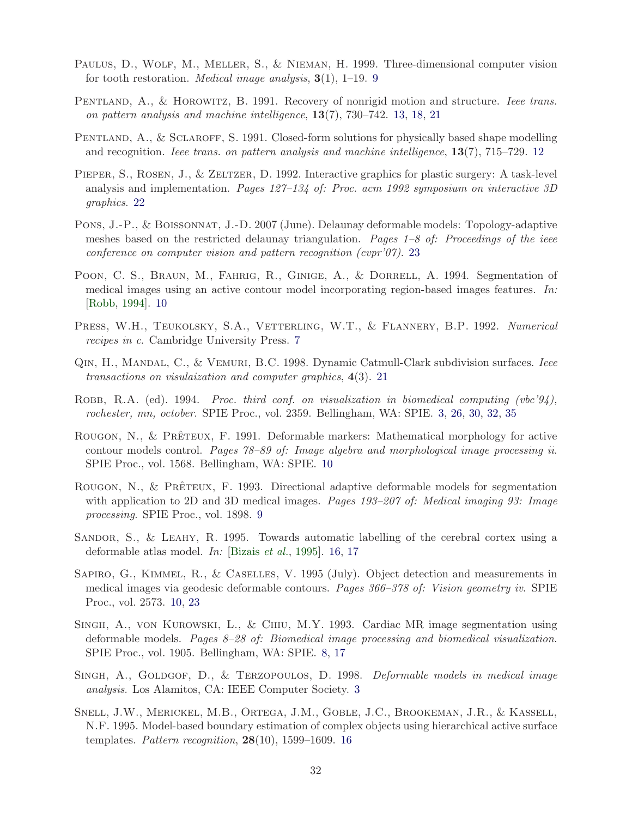- <span id="page-31-16"></span><span id="page-31-5"></span>Paulus, D., Wolf, M., Meller, S., & Nieman, H. 1999. Three-dimensional computer vision for tooth restoration. *Medical image analysis*, **3**(1), 1–19. [9](#page-8-1)
- <span id="page-31-10"></span>Pentland, A., & Horowitz, B. 1991. Recovery of nonrigid motion and structure. *Ieee trans. on pattern analysis and machine intelligence*, **13**(7), 730–742. [13,](#page-12-0) [18,](#page-17-1) [21](#page-20-3)
- <span id="page-31-9"></span>PENTLAND, A.,  $\&$  SCLAROFF, S. 1991. Closed-form solutions for physically based shape modelling and recognition. *Ieee trans. on pattern analysis and machine intelligence*, **13**(7), 715–729. [12](#page-11-1)
- <span id="page-31-14"></span>PIEPER, S., ROSEN, J., & ZELTZER, D. 1992. Interactive graphics for plastic surgery: A task-level analysis and implementation. *Pages 127–134 of: Proc. acm 1992 symposium on interactive 3D graphics*. [22](#page-21-2)
- <span id="page-31-15"></span>Pons, J.-P., & Boissonnat, J.-D. 2007 (June). Delaunay deformable models: Topology-adaptive meshes based on the restricted delaunay triangulation. *Pages 1–8 of: Proceedings of the ieee conference on computer vision and pattern recognition (cvpr'07)*. [23](#page-22-2)
- <span id="page-31-6"></span>POON, C. S., BRAUN, M., FAHRIG, R., GINIGE, A., & DORRELL, A. 1994. Segmentation of medical images using an active contour model incorporating region-based images features. *In:* [\[Robb,](#page-31-0) [1994](#page-31-0)]. [10](#page-9-2)
- <span id="page-31-2"></span>Press, W.H., Teukolsky, S.A., Vetterling, W.T., & Flannery, B.P. 1992. *Numerical recipes in c*. Cambridge University Press. [7](#page-6-4)
- <span id="page-31-13"></span>Qin, H., Mandal, C., & Vemuri, B.C. 1998. Dynamic Catmull-Clark subdivision surfaces. *Ieee transactions on visulaization and computer graphics*, **4**(3). [21](#page-20-3)
- <span id="page-31-0"></span>ROBB, R.A. (ed). 1994. *Proc. third conf. on visualization in biomedical computing (vbc'94)*, *rochester, mn, october*. SPIE Proc., vol. 2359. Bellingham, WA: SPIE. [3,](#page-2-1) [26,](#page-25-16) [30,](#page-29-16) [32,](#page-31-16) [35](#page-34-13)
- <span id="page-31-7"></span>ROUGON, N., & PRÊTEUX, F. 1991. Deformable markers: Mathematical morphology for active contour models control. *Pages 78–89 of: Image algebra and morphological image processing ii*. SPIE Proc., vol. 1568. Bellingham, WA: SPIE. [10](#page-9-2)
- <span id="page-31-4"></span>ROUGON, N., & PRÊTEUX, F. 1993. Directional adaptive deformable models for segmentation with application to 2D and 3D medical images. *Pages 193–207 of: Medical imaging 93: Image processing*. SPIE Proc., vol. 1898. [9](#page-8-1)
- <span id="page-31-11"></span>SANDOR, S., & LEAHY, R. 1995. Towards automatic labelling of the cerebral cortex using a deformable atlas model. *In:* [\[Bizais](#page-24-0) *et al.*, [1995](#page-24-0)]. [16,](#page-15-1) [17](#page-16-1)
- <span id="page-31-8"></span>Sapiro, G., Kimmel, R., & Caselles, V. 1995 (July). Object detection and measurements in medical images via geodesic deformable contours. *Pages 366–378 of: Vision geometry iv*. SPIE Proc., vol. 2573. [10,](#page-9-2) [23](#page-22-2)
- <span id="page-31-3"></span>Singh, A., von Kurowski, L., & Chiu, M.Y. 1993. Cardiac MR image segmentation using deformable models. *Pages 8–28 of: Biomedical image processing and biomedical visualization*. SPIE Proc., vol. 1905. Bellingham, WA: SPIE. [8,](#page-7-2) [17](#page-16-1)
- <span id="page-31-1"></span>SINGH, A., GOLDGOF, D., & TERZOPOULOS, D. 1998. *Deformable models in medical image analysis*. Los Alamitos, CA: IEEE Computer Society. [3](#page-2-1)
- <span id="page-31-12"></span>Snell, J.W., Merickel, M.B., Ortega, J.M., Goble, J.C., Brookeman, J.R., & Kassell, N.F. 1995. Model-based boundary estimation of complex objects using hierarchical active surface templates. *Pattern recognition*, **28**(10), 1599–1609. [16](#page-15-1)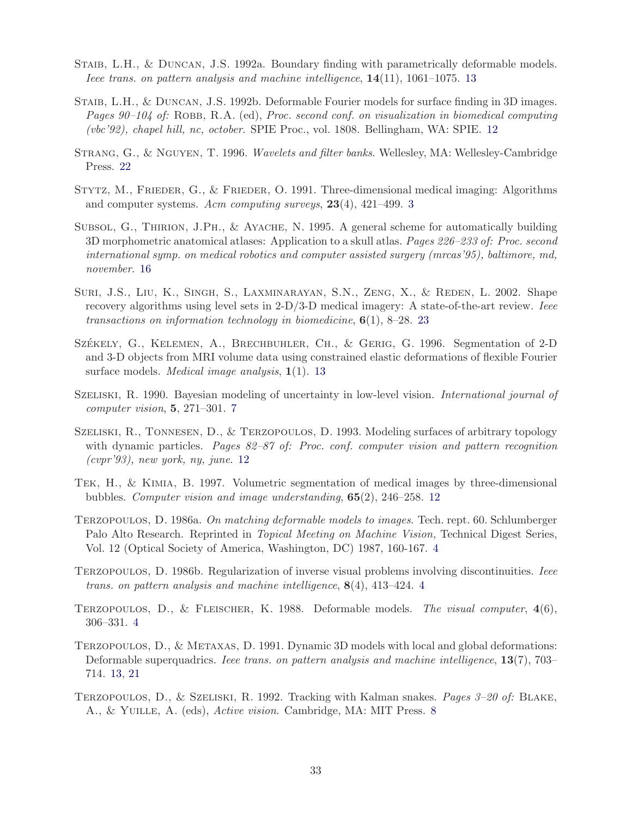- <span id="page-32-10"></span>STAIB, L.H., & DUNCAN, J.S. 1992a. Boundary finding with parametrically deformable models. *Ieee trans. on pattern analysis and machine intelligence*, **14**(11), 1061–1075. [13](#page-12-0)
- <span id="page-32-6"></span>STAIB, L.H., & DUNCAN, J.S. 1992b. Deformable Fourier models for surface finding in 3D images. *Pages 90–104 of:* ROBB, R.A. (ed), *Proc. second conf. on visualization in biomedical computing (vbc'92), chapel hill, nc, october*. SPIE Proc., vol. 1808. Bellingham, WA: SPIE. [12](#page-11-1)
- <span id="page-32-13"></span>Strang, G., & Nguyen, T. 1996. *Wavelets and filter banks*. Wellesley, MA: Wellesley-Cambridge Press. [22](#page-21-2)
- <span id="page-32-0"></span>Stytz, M., Frieder, G., & Frieder, O. 1991. Three-dimensional medical imaging: Algorithms and computer systems. *Acm computing surveys*, **23**(4), 421–499. [3](#page-2-1)
- <span id="page-32-12"></span>SUBSOL, G., THIRION, J.PH., & AYACHE, N. 1995. A general scheme for automatically building 3D morphometric anatomical atlases: Application to a skull atlas. *Pages 226–233 of: Proc. second international symp. on medical robotics and computer assisted surgery (mrcas'95), baltimore, md, november*. [16](#page-15-1)
- <span id="page-32-14"></span>Suri, J.S., Liu, K., Singh, S., Laxminarayan, S.N., Zeng, X., & Reden, L. 2002. Shape recovery algorithms using level sets in 2-D/3-D medical imagery: A state-of-the-art review. *Ieee transactions on information technology in biomedicine*, **6**(1), 8–28. [23](#page-22-2)
- <span id="page-32-11"></span>SZÉKELY, G., KELEMEN, A., BRECHBUHLER, CH., & GERIG, G. 1996. Segmentation of 2-D and 3-D objects from MRI volume data using constrained elastic deformations of flexible Fourier surface models. *Medical image analysis*, **1**(1). [13](#page-12-0)
- <span id="page-32-4"></span>Szeliski, R. 1990. Bayesian modeling of uncertainty in low-level vision. *International journal of computer vision*, **5**, 271–301. [7](#page-6-4)
- <span id="page-32-7"></span>Szeliski, R., Tonnesen, D., & Terzopoulos, D. 1993. Modeling surfaces of arbitrary topology with dynamic particles. *Pages 82–87 of: Proc. conf. computer vision and pattern recognition (cvpr'93), new york, ny, june*. [12](#page-11-1)
- <span id="page-32-8"></span>Tek, H., & Kimia, B. 1997. Volumetric segmentation of medical images by three-dimensional bubbles. *Computer vision and image understanding*, **65**(2), 246–258. [12](#page-11-1)
- <span id="page-32-2"></span>Terzopoulos, D. 1986a. *On matching deformable models to images*. Tech. rept. 60. Schlumberger Palo Alto Research. Reprinted in *Topical Meeting on Machine Vision,* Technical Digest Series, Vol. 12 (Optical Society of America, Washington, DC) 1987, 160-167. [4](#page-3-3)
- <span id="page-32-3"></span>Terzopoulos, D. 1986b. Regularization of inverse visual problems involving discontinuities. *Ieee trans. on pattern analysis and machine intelligence*, **8**(4), 413–424. [4](#page-3-3)
- <span id="page-32-1"></span>Terzopoulos, D., & Fleischer, K. 1988. Deformable models. *The visual computer*, **4**(6), 306–331. [4](#page-3-3)
- <span id="page-32-9"></span>Terzopoulos, D., & Metaxas, D. 1991. Dynamic 3D models with local and global deformations: Deformable superquadrics. *Ieee trans. on pattern analysis and machine intelligence*, **13**(7), 703– 714. [13,](#page-12-0) [21](#page-20-3)
- <span id="page-32-5"></span>Terzopoulos, D., & Szeliski, R. 1992. Tracking with Kalman snakes. *Pages 3–20 of:* Blake, A., & Yuille, A. (eds), *Active vision*. Cambridge, MA: MIT Press. [8](#page-7-2)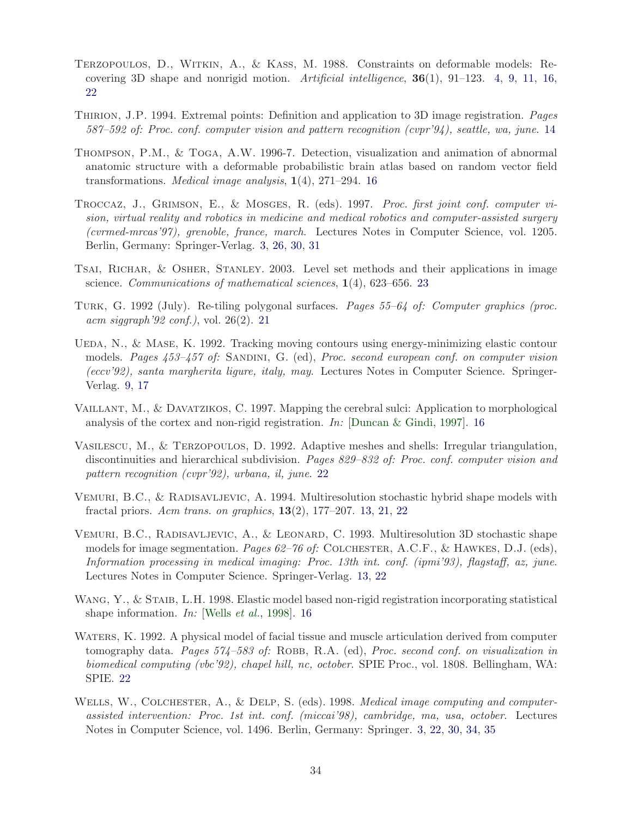- <span id="page-33-14"></span><span id="page-33-2"></span>Terzopoulos, D., Witkin, A., & Kass, M. 1988. Constraints on deformable models: Recovering 3D shape and nonrigid motion. *Artificial intelligence*, **36**(1), 91–123. [4,](#page-3-3) [9,](#page-8-1) [11,](#page-10-2) [16,](#page-15-1) [22](#page-21-2)
- <span id="page-33-6"></span>Thirion, J.P. 1994. Extremal points: Definition and application to 3D image registration. *Pages 587–592 of: Proc. conf. computer vision and pattern recognition (cvpr'94), seattle, wa, june*. [14](#page-13-1)
- <span id="page-33-7"></span>Thompson, P.M., & Toga, A.W. 1996-7. Detection, visualization and animation of abnormal anatomic structure with a deformable probabilistic brain atlas based on random vector field transformations. *Medical image analysis*, **1**(4), 271–294. [16](#page-15-1)
- <span id="page-33-0"></span>Troccaz, J., Grimson, E., & Mosges, R. (eds). 1997. *Proc. first joint conf. computer vision, virtual reality and robotics in medicine and medical robotics and computer-assisted surgery (cvrmed-mrcas'97), grenoble, france, march*. Lectures Notes in Computer Science, vol. 1205. Berlin, Germany: Springer-Verlag. [3,](#page-2-1) [26,](#page-25-16) [30,](#page-29-16) [31](#page-30-16)
- <span id="page-33-13"></span>TSAI, RICHAR, & OSHER, STANLEY. 2003. Level set methods and their applications in image science. *Communications of mathematical sciences*, **1**(4), 623–656. [23](#page-22-2)
- <span id="page-33-10"></span>Turk, G. 1992 (July). Re-tiling polygonal surfaces. *Pages 55–64 of: Computer graphics (proc. acm siggraph'92 conf.)*, vol. 26(2). [21](#page-20-3)
- <span id="page-33-3"></span>UEDA, N., & MASE, K. 1992. Tracking moving contours using energy-minimizing elastic contour models. *Pages 453–457 of:* SANDINI, G. (ed), *Proc. second european conf. on computer vision (eccv'92), santa margherita ligure, italy, may*. Lectures Notes in Computer Science. Springer-Verlag. [9,](#page-8-1) [17](#page-16-1)
- <span id="page-33-8"></span>Vaillant, M., & Davatzikos, C. 1997. Mapping the cerebral sulci: Application to morphological analysis of the cortex and non-rigid registration. *In:* [\[Duncan & Gindi,](#page-25-0) [1997](#page-25-0)]. [16](#page-15-1)
- <span id="page-33-12"></span>Vasilescu, M., & Terzopoulos, D. 1992. Adaptive meshes and shells: Irregular triangulation, discontinuities and hierarchical subdivision. *Pages 829–832 of: Proc. conf. computer vision and pattern recognition (cvpr'92), urbana, il, june*. [22](#page-21-2)
- <span id="page-33-5"></span>Vemuri, B.C., & Radisavljevic, A. 1994. Multiresolution stochastic hybrid shape models with fractal priors. *Acm trans. on graphics*, **13**(2), 177–207. [13,](#page-12-0) [21,](#page-20-3) [22](#page-21-2)
- <span id="page-33-4"></span>Vemuri, B.C., Radisavljevic, A., & Leonard, C. 1993. Multiresolution 3D stochastic shape models for image segmentation. *Pages 62–76 of:* COLCHESTER, A.C.F., & HAWKES, D.J. (eds), *Information processing in medical imaging: Proc. 13th int. conf. (ipmi'93), flagstaff, az, june*. Lectures Notes in Computer Science. Springer-Verlag. [13,](#page-12-0) [22](#page-21-2)
- <span id="page-33-9"></span>WANG, Y., & STAIB, L.H. 1998. Elastic model based non-rigid registration incorporating statistical shape information. *In:* [\[Wells](#page-33-1) *et al.*, [1998](#page-33-1)]. [16](#page-15-1)
- <span id="page-33-11"></span>Waters, K. 1992. A physical model of facial tissue and muscle articulation derived from computer tomography data. *Pages 574–583 of:* ROBB, R.A. (ed), *Proc. second conf. on visualization in biomedical computing (vbc'92), chapel hill, nc, october*. SPIE Proc., vol. 1808. Bellingham, WA: SPIE. [22](#page-21-2)
- <span id="page-33-1"></span>Wells, W., Colchester, A., & Delp, S. (eds). 1998. *Medical image computing and computerassisted intervention: Proc. 1st int. conf. (miccai'98), cambridge, ma, usa, october*. Lectures Notes in Computer Science, vol. 1496. Berlin, Germany: Springer. [3,](#page-2-1) [22,](#page-21-2) [30,](#page-29-16) [34,](#page-33-14) [35](#page-34-13)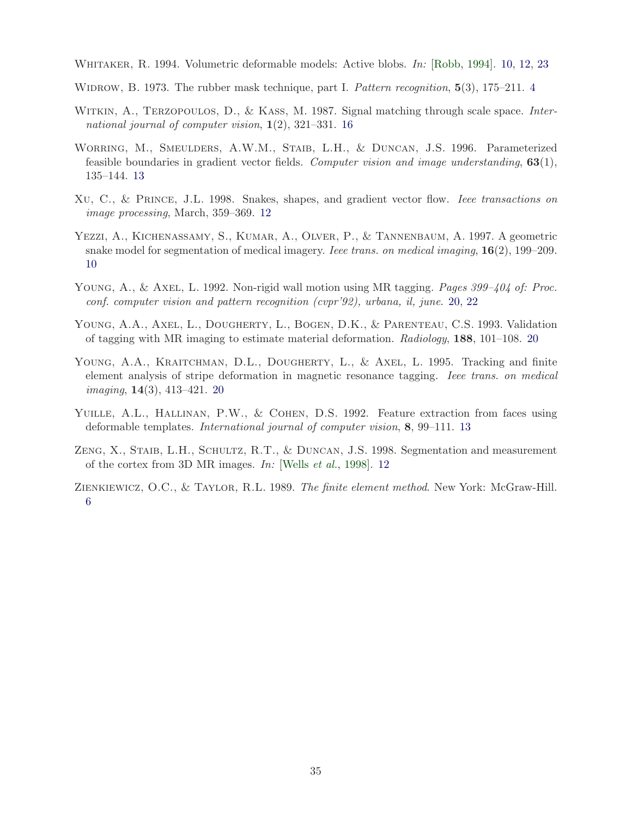<span id="page-34-13"></span><span id="page-34-3"></span>Whitaker, R. 1994. Volumetric deformable models: Active blobs. *In:* [\[Robb](#page-31-0), [1994\]](#page-31-0). [10,](#page-9-2) [12,](#page-11-1) [23](#page-22-2)

- <span id="page-34-1"></span>Widrow, B. 1973. The rubber mask technique, part I. *Pattern recognition*, **5**(3), 175–211. [4](#page-3-3)
- <span id="page-34-9"></span>Witkin, A., Terzopoulos, D., & Kass, M. 1987. Signal matching through scale space. *International journal of computer vision*, **1**(2), 321–331. [16](#page-15-1)
- <span id="page-34-8"></span>Worring, M., Smeulders, A.W.M., Staib, L.H., & Duncan, J.S. 1996. Parameterized feasible boundaries in gradient vector fields. *Computer vision and image understanding*, **63**(1), 135–144. [13](#page-12-0)
- <span id="page-34-5"></span>Xu, C., & Prince, J.L. 1998. Snakes, shapes, and gradient vector flow. *Ieee transactions on image processing*, March, 359–369. [12](#page-11-1)
- <span id="page-34-4"></span>Yezzi, A., Kichenassamy, S., Kumar, A., Olver, P., & Tannenbaum, A. 1997. A geometric snake model for segmentation of medical imagery. *Ieee trans. on medical imaging*, **16**(2), 199–209. [10](#page-9-2)
- <span id="page-34-12"></span>Young, A., & Axel, L. 1992. Non-rigid wall motion using MR tagging. *Pages 399–404 of: Proc. conf. computer vision and pattern recognition (cvpr'92), urbana, il, june*. [20,](#page-19-2) [22](#page-21-2)
- <span id="page-34-10"></span>Young, A.A., Axel, L., Dougherty, L., Bogen, D.K., & Parenteau, C.S. 1993. Validation of tagging with MR imaging to estimate material deformation. *Radiology*, **188**, 101–108. [20](#page-19-2)
- <span id="page-34-11"></span>YOUNG, A.A., KRAITCHMAN, D.L., DOUGHERTY, L., & AXEL, L. 1995. Tracking and finite element analysis of stripe deformation in magnetic resonance tagging. *Ieee trans. on medical imaging*, **14**(3), 413–421. [20](#page-19-2)
- <span id="page-34-7"></span>YUILLE, A.L., HALLINAN, P.W., & COHEN, D.S. 1992. Feature extraction from faces using deformable templates. *International journal of computer vision*, **8**, 99–111. [13](#page-12-0)
- <span id="page-34-6"></span>ZENG, X., STAIB, L.H., SCHULTZ, R.T., & DUNCAN, J.S. 1998. Segmentation and measurement of the cortex from 3D MR images. *In:* [\[Wells](#page-33-1) *et al.*, [1998\]](#page-33-1). [12](#page-11-1)
- <span id="page-34-2"></span><span id="page-34-0"></span>Zienkiewicz, O.C., & Taylor, R.L. 1989. *The finite element method*. New York: McGraw-Hill. [6](#page-5-4)